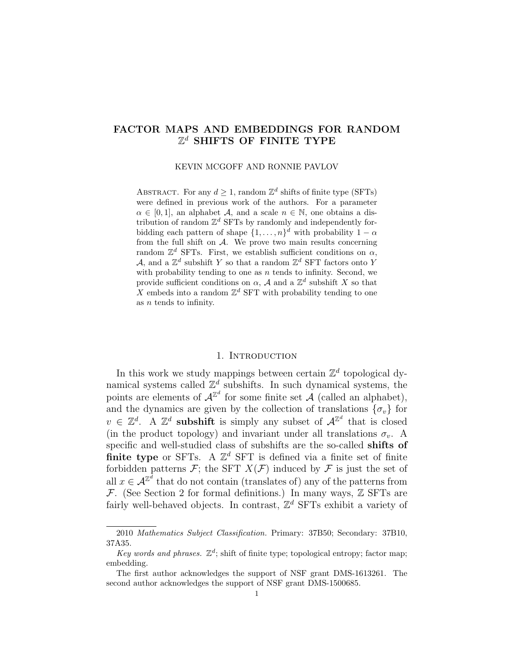# FACTOR MAPS AND EMBEDDINGS FOR RANDOM  $\mathbb{Z}^d$  SHIFTS OF FINITE TYPE

#### KEVIN MCGOFF AND RONNIE PAVLOV

ABSTRACT. For any  $d \geq 1$ , random  $\mathbb{Z}^d$  shifts of finite type (SFTs) were defined in previous work of the authors. For a parameter  $\alpha \in [0,1]$ , an alphabet A, and a scale  $n \in \mathbb{N}$ , one obtains a distribution of random  $\mathbb{Z}^d$  SFTs by randomly and independently forbidding each pattern of shape  $\{1, \ldots, n\}^d$  with probability  $1 - \alpha$ from the full shift on  $A$ . We prove two main results concerning random  $\mathbb{Z}^d$  SFTs. First, we establish sufficient conditions on  $\alpha$ , A, and a  $\mathbb{Z}^d$  subshift Y so that a random  $\mathbb{Z}^d$  SFT factors onto Y with probability tending to one as  $n$  tends to infinity. Second, we provide sufficient conditions on  $\alpha$ , A and a  $\mathbb{Z}^d$  subshift X so that X embeds into a random  $\mathbb{Z}^d$  SFT with probability tending to one as n tends to infinity.

# 1. INTRODUCTION

In this work we study mappings between certain  $\mathbb{Z}^d$  topological dynamical systems called  $\mathbb{Z}^d$  subshifts. In such dynamical systems, the points are elements of  $\mathcal{A}^{\mathbb{Z}^d}$  for some finite set  $\mathcal{A}$  (called an alphabet), and the dynamics are given by the collection of translations  $\{\sigma_v\}$  for  $v \in \mathbb{Z}^d$ . A  $\mathbb{Z}^d$  subshift is simply any subset of  $\mathcal{A}^{\mathbb{Z}^d}$  that is closed (in the product topology) and invariant under all translations  $\sigma_v$ . A specific and well-studied class of subshifts are the so-called shifts of **finite type** or SFTs. A  $\mathbb{Z}^d$  SFT is defined via a finite set of finite forbidden patterns  $\mathcal{F}$ ; the SFT  $X(\mathcal{F})$  induced by  $\mathcal F$  is just the set of all  $x \in \mathcal{A}^{\mathbb{Z}^d}$  that do not contain (translates of) any of the patterns from  $\mathcal F$ . (See Section 2 for formal definitions.) In many ways,  $\mathbb Z$  SFTs are fairly well-behaved objects. In contrast,  $\mathbb{Z}^d$  SFTs exhibit a variety of

<sup>2010</sup> Mathematics Subject Classification. Primary: 37B50; Secondary: 37B10, 37A35.

Key words and phrases.  $\mathbb{Z}^d$ ; shift of finite type; topological entropy; factor map; embedding.

The first author acknowledges the support of NSF grant DMS-1613261. The second author acknowledges the support of NSF grant DMS-1500685.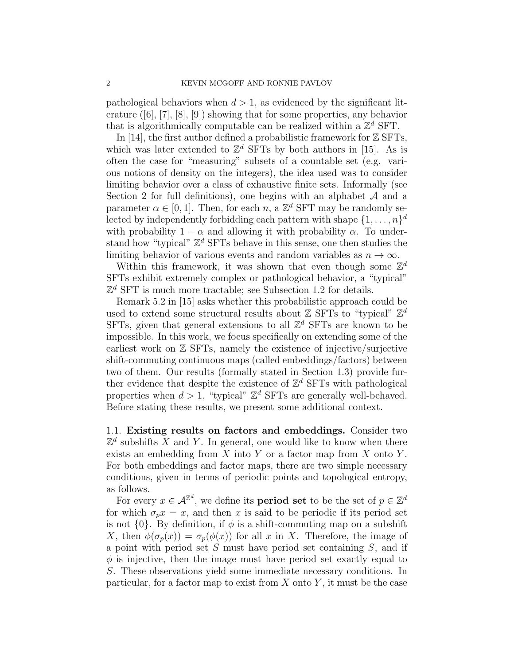pathological behaviors when  $d > 1$ , as evidenced by the significant literature ([6], [7], [8], [9]) showing that for some properties, any behavior that is algorithmically computable can be realized within a  $\mathbb{Z}^d$  SFT.

In [14], the first author defined a probabilistic framework for  $\mathbb Z$  SFTs, which was later extended to  $\mathbb{Z}^d$  SFTs by both authors in [15]. As is often the case for "measuring" subsets of a countable set (e.g. various notions of density on the integers), the idea used was to consider limiting behavior over a class of exhaustive finite sets. Informally (see Section 2 for full definitions), one begins with an alphabet  $A$  and a parameter  $\alpha \in [0, 1]$ . Then, for each  $n$ , a  $\mathbb{Z}^d$  SFT may be randomly selected by independently forbidding each pattern with shape  $\{1, \ldots, n\}^d$ with probability  $1 - \alpha$  and allowing it with probability  $\alpha$ . To understand how "typical"  $\mathbb{Z}^d$  SFTs behave in this sense, one then studies the limiting behavior of various events and random variables as  $n \to \infty$ .

Within this framework, it was shown that even though some  $\mathbb{Z}^d$ SFTs exhibit extremely complex or pathological behavior, a "typical"  $\mathbb{Z}^d$  SFT is much more tractable; see Subsection 1.2 for details.

Remark 5.2 in [15] asks whether this probabilistic approach could be used to extend some structural results about  $Z$  SFTs to "typical"  $\mathbb{Z}^d$ SFTs, given that general extensions to all  $\mathbb{Z}^d$  SFTs are known to be impossible. In this work, we focus specifically on extending some of the earliest work on  $\mathbb Z$  SFTs, namely the existence of injective/surjective shift-commuting continuous maps (called embeddings/factors) between two of them. Our results (formally stated in Section 1.3) provide further evidence that despite the existence of  $\mathbb{Z}^d$  SFTs with pathological properties when  $d > 1$ , "typical"  $\mathbb{Z}^d$  SFTs are generally well-behaved. Before stating these results, we present some additional context.

1.1. Existing results on factors and embeddings. Consider two  $\mathbb{Z}^d$  subshifts X and Y. In general, one would like to know when there exists an embedding from  $X$  into  $Y$  or a factor map from  $X$  onto  $Y$ . For both embeddings and factor maps, there are two simple necessary conditions, given in terms of periodic points and topological entropy, as follows.

For every  $x \in \mathcal{A}^{\mathbb{Z}^d}$ , we define its **period set** to be the set of  $p \in \mathbb{Z}^d$ for which  $\sigma_p x = x$ , and then x is said to be periodic if its period set is not  $\{0\}$ . By definition, if  $\phi$  is a shift-commuting map on a subshift X, then  $\phi(\sigma_n(x)) = \sigma_n(\phi(x))$  for all x in X. Therefore, the image of a point with period set  $S$  must have period set containing  $S$ , and if  $\phi$  is injective, then the image must have period set exactly equal to S. These observations yield some immediate necessary conditions. In particular, for a factor map to exist from  $X$  onto  $Y$ , it must be the case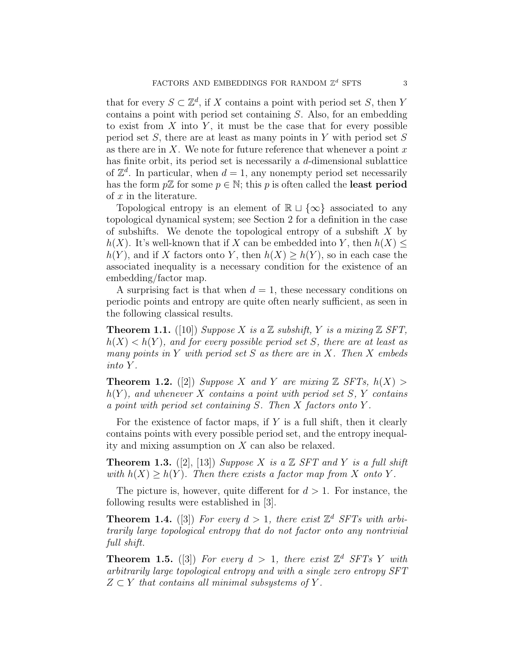that for every  $S \subset \mathbb{Z}^d$ , if X contains a point with period set S, then Y contains a point with period set containing S. Also, for an embedding to exist from  $X$  into  $Y$ , it must be the case that for every possible period set  $S$ , there are at least as many points in Y with period set  $S$ as there are in X. We note for future reference that whenever a point  $x$ has finite orbit, its period set is necessarily a d-dimensional sublattice of  $\mathbb{Z}^d$ . In particular, when  $d=1$ , any nonempty period set necessarily has the form  $p\mathbb{Z}$  for some  $p \in \mathbb{N}$ ; this p is often called the **least period** of x in the literature.

Topological entropy is an element of  $\mathbb{R} \sqcup \{\infty\}$  associated to any topological dynamical system; see Section 2 for a definition in the case of subshifts. We denote the topological entropy of a subshift  $X$  by  $h(X)$ . It's well-known that if X can be embedded into Y, then  $h(X) \leq$  $h(Y)$ , and if X factors onto Y, then  $h(X) \geq h(Y)$ , so in each case the associated inequality is a necessary condition for the existence of an embedding/factor map.

A surprising fact is that when  $d = 1$ , these necessary conditions on periodic points and entropy are quite often nearly sufficient, as seen in the following classical results.

**Theorem 1.1.** ([10]) Suppose X is a Z subshift, Y is a mixing Z SFT,  $h(X) < h(Y)$ , and for every possible period set S, there are at least as many points in Y with period set S as there are in X. Then X embeds into Y .

**Theorem 1.2.** ([2]) Suppose X and Y are mixing  $\mathbb{Z}$  SFTs,  $h(X) >$  $h(Y)$ , and whenever X contains a point with period set S, Y contains a point with period set containing S. Then X factors onto Y .

For the existence of factor maps, if  $Y$  is a full shift, then it clearly contains points with every possible period set, and the entropy inequality and mixing assumption on X can also be relaxed.

**Theorem 1.3.** ([2], [13]) Suppose X is a  $\mathbb{Z}$  SFT and Y is a full shift with  $h(X) \ge h(Y)$ . Then there exists a factor map from X onto Y.

The picture is, however, quite different for  $d > 1$ . For instance, the following results were established in [3].

**Theorem 1.4.** ([3]) For every  $d > 1$ , there exist  $\mathbb{Z}^d$  SFTs with arbitrarily large topological entropy that do not factor onto any nontrivial full shift.

**Theorem 1.5.** ([3]) For every  $d > 1$ , there exist  $\mathbb{Z}^d$  SFTs Y with arbitrarily large topological entropy and with a single zero entropy SFT  $Z \subset Y$  that contains all minimal subsystems of Y.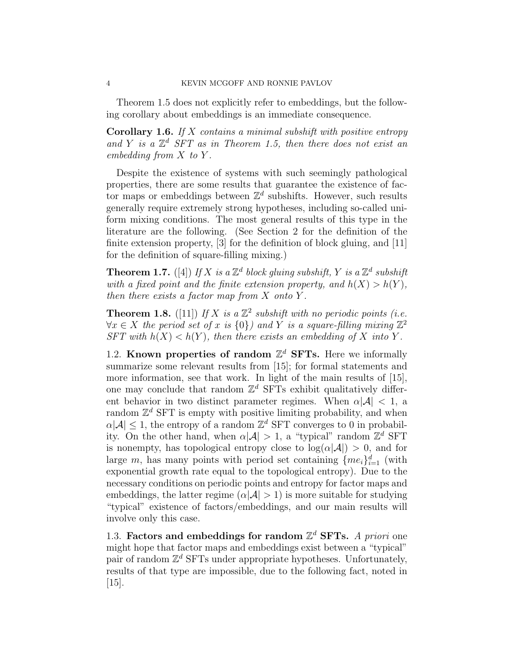Theorem 1.5 does not explicitly refer to embeddings, but the following corollary about embeddings is an immediate consequence.

**Corollary 1.6.** If X contains a minimal subshift with positive entropy and Y is a  $\mathbb{Z}^d$  SFT as in Theorem 1.5, then there does not exist an embedding from X to Y .

Despite the existence of systems with such seemingly pathological properties, there are some results that guarantee the existence of factor maps or embeddings between  $\mathbb{Z}^d$  subshifts. However, such results generally require extremely strong hypotheses, including so-called uniform mixing conditions. The most general results of this type in the literature are the following. (See Section 2 for the definition of the finite extension property, [3] for the definition of block gluing, and [11] for the definition of square-filling mixing.)

**Theorem 1.7.** ([4]) If X is a  $\mathbb{Z}^d$  block gluing subshift, Y is a  $\mathbb{Z}^d$  subshift with a fixed point and the finite extension property, and  $h(X) > h(Y)$ , then there exists a factor map from  $X$  onto  $Y$ .

**Theorem 1.8.** ([11]) If X is a  $\mathbb{Z}^2$  subshift with no periodic points (i.e.  $\forall x \in X$  the period set of x is  $\{0\}$ ) and Y is a square-filling mixing  $\mathbb{Z}^2$ SFT with  $h(X) < h(Y)$ , then there exists an embedding of X into Y.

1.2. Known properties of random  $\mathbb{Z}^d$  SFTs. Here we informally summarize some relevant results from [15]; for formal statements and more information, see that work. In light of the main results of [15], one may conclude that random  $\mathbb{Z}^d$  SFTs exhibit qualitatively different behavior in two distinct parameter regimes. When  $\alpha |\mathcal{A}| < 1$ , a random  $\mathbb{Z}^d$  SFT is empty with positive limiting probability, and when  $\alpha|\mathcal{A}| \leq 1$ , the entropy of a random  $\mathbb{Z}^d$  SFT converges to 0 in probability. On the other hand, when  $\alpha |\mathcal{A}| > 1$ , a "typical" random  $\mathbb{Z}^d$  SFT is nonempty, has topological entropy close to  $log(\alpha |A|) > 0$ , and for large m, has many points with period set containing  $\{me_i\}_{i=1}^d$  (with exponential growth rate equal to the topological entropy). Due to the necessary conditions on periodic points and entropy for factor maps and embeddings, the latter regime  $(\alpha | \mathcal{A}| > 1)$  is more suitable for studying "typical" existence of factors/embeddings, and our main results will involve only this case.

1.3. Factors and embeddings for random  $\mathbb{Z}^d$  SFTs. A priori one might hope that factor maps and embeddings exist between a "typical" pair of random  $\mathbb{Z}^d$  SFTs under appropriate hypotheses. Unfortunately, results of that type are impossible, due to the following fact, noted in [15].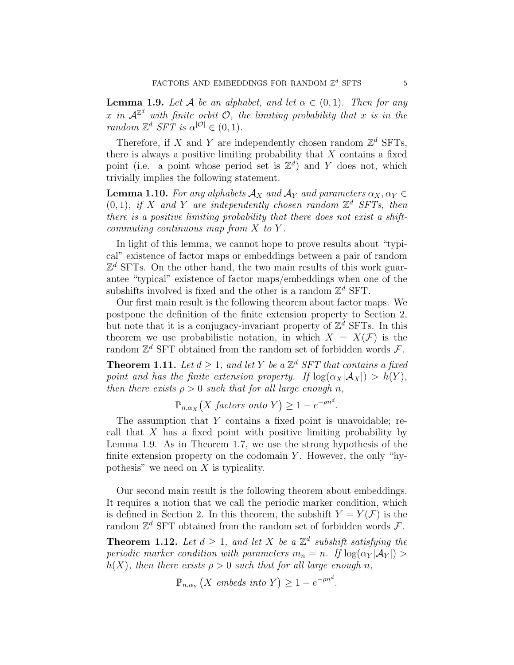**Lemma 1.9.** Let A be an alphabet, and let  $\alpha \in (0,1)$ . Then for any x in  $\mathcal{A}^{\mathbb{Z}^d}$  with finite orbit  $\mathcal{O}$ , the limiting probability that x is in the random  $\mathbb{Z}^d$  SFT is  $\alpha^{|\mathcal{O}|} \in (0,1)$ .

Therefore, if X and Y are independently chosen random  $\mathbb{Z}^d$  SFTs, there is always a positive limiting probability that  $X$  contains a fixed point (i.e. a point whose period set is  $\mathbb{Z}^d$ ) and Y does not, which trivially implies the following statement.

**Lemma 1.10.** For any alphabets  $\mathcal{A}_X$  and  $\mathcal{A}_Y$  and parameters  $\alpha_X, \alpha_Y \in$  $(0, 1)$ , if X and Y are independently chosen random  $\mathbb{Z}^d$  SFTs, then there is a positive limiting probability that there does not exist a shiftcommuting continuous map from  $X$  to  $Y$ .

In light of this lemma, we cannot hope to prove results about "typical" existence of factor maps or embeddings between a pair of random  $\mathbb{Z}^d$  SFTs. On the other hand, the two main results of this work guarantee "typical" existence of factor maps/embeddings when one of the subshifts involved is fixed and the other is a random  $\mathbb{Z}^d$  SFT.

Our first main result is the following theorem about factor maps. We postpone the definition of the finite extension property to Section 2, but note that it is a conjugacy-invariant property of  $\mathbb{Z}^d$  SFTs. In this theorem we use probabilistic notation, in which  $X = X(F)$  is the random  $\mathbb{Z}^d$  SFT obtained from the random set of forbidden words  $\mathcal{F}$ .

**Theorem 1.11.** Let  $d \geq 1$ , and let Y be a  $\mathbb{Z}^d$  SFT that contains a fixed point and has the finite extension property. If  $\log(\alpha_X|\mathcal{A}_X|) > h(Y)$ , then there exists  $\rho > 0$  such that for all large enough n,

$$
\mathbb{P}_{n,\alpha_X}\big(X\text{ factors onto }Y\big)\geq 1-e^{-\rho n^d}.
$$

The assumption that  $Y$  contains a fixed point is unavoidable; recall that  $X$  has a fixed point with positive limiting probability by Lemma 1.9. As in Theorem 1.7, we use the strong hypothesis of the finite extension property on the codomain  $Y$ . However, the only "hypothesis" we need on X is typicality.

Our second main result is the following theorem about embeddings. It requires a notion that we call the periodic marker condition, which is defined in Section 2. In this theorem, the subshift  $Y = Y(\mathcal{F})$  is the random  $\mathbb{Z}^d$  SFT obtained from the random set of forbidden words  $\mathcal{F}$ .

**Theorem 1.12.** Let  $d \geq 1$ , and let X be a  $\mathbb{Z}^d$  subshift satisfying the periodic marker condition with parameters  $m_n = n$ . If  $\log(\alpha_Y|\mathcal{A}_Y|) >$  $h(X)$ , then there exists  $\rho > 0$  such that for all large enough n,

$$
\mathbb{P}_{n,\alpha_Y}\big(X \text{ embeds into } Y\big) \ge 1 - e^{-\rho n^d}.
$$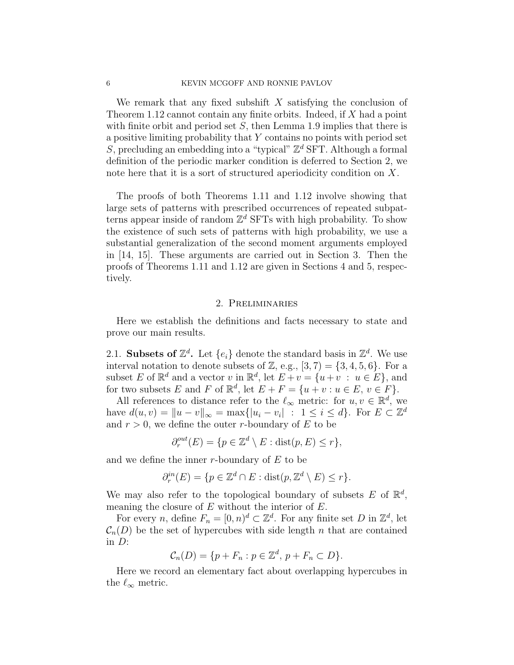We remark that any fixed subshift  $X$  satisfying the conclusion of Theorem 1.12 cannot contain any finite orbits. Indeed, if  $X$  had a point with finite orbit and period set  $S$ , then Lemma 1.9 implies that there is a positive limiting probability that Y contains no points with period set  $S$ , precluding an embedding into a "typical"  $\mathbb{Z}^d$  SFT. Although a formal definition of the periodic marker condition is deferred to Section 2, we note here that it is a sort of structured aperiodicity condition on X.

The proofs of both Theorems 1.11 and 1.12 involve showing that large sets of patterns with prescribed occurrences of repeated subpatterns appear inside of random  $\mathbb{Z}^d$  SFTs with high probability. To show the existence of such sets of patterns with high probability, we use a substantial generalization of the second moment arguments employed in [14, 15]. These arguments are carried out in Section 3. Then the proofs of Theorems 1.11 and 1.12 are given in Sections 4 and 5, respectively.

#### 2. Preliminaries

Here we establish the definitions and facts necessary to state and prove our main results.

2.1. Subsets of  $\mathbb{Z}^d$ . Let  $\{e_i\}$  denote the standard basis in  $\mathbb{Z}^d$ . We use interval notation to denote subsets of  $\mathbb{Z}$ , e.g.,  $[3, 7) = \{3, 4, 5, 6\}$ . For a subset E of  $\mathbb{R}^d$  and a vector v in  $\mathbb{R}^d$ , let  $E + v = \{u + v : u \in E\}$ , and for two subsets E and F of  $\mathbb{R}^d$ , let  $E + F = \{u + v : u \in E, v \in F\}.$ 

All references to distance refer to the  $\ell_{\infty}$  metric: for  $u, v \in \mathbb{R}^d$ , we have  $d(u, v) = ||u - v||_{\infty} = \max\{|u_i - v_i| : 1 \leq i \leq d\}$ . For  $E \subset \mathbb{Z}^d$ and  $r > 0$ , we define the outer r-boundary of E to be

$$
\partial_r^{out}(E) = \{ p \in \mathbb{Z}^d \setminus E : \text{dist}(p, E) \le r \},
$$

and we define the inner  $r$ -boundary of  $E$  to be

$$
\partial_r^{in}(E) = \{ p \in \mathbb{Z}^d \cap E : \text{dist}(p, \mathbb{Z}^d \setminus E) \le r \}.
$$

We may also refer to the topological boundary of subsets  $E$  of  $\mathbb{R}^d$ , meaning the closure of  $E$  without the interior of  $E$ .

For every *n*, define  $F_n = [0, n)^d \subset \mathbb{Z}^d$ . For any finite set *D* in  $\mathbb{Z}^d$ , let  $\mathcal{C}_n(D)$  be the set of hypercubes with side length n that are contained in  $D$ :

$$
\mathcal{C}_n(D) = \{ p + F_n : p \in \mathbb{Z}^d, \ p + F_n \subset D \}.
$$

Here we record an elementary fact about overlapping hypercubes in the  $\ell_{\infty}$  metric.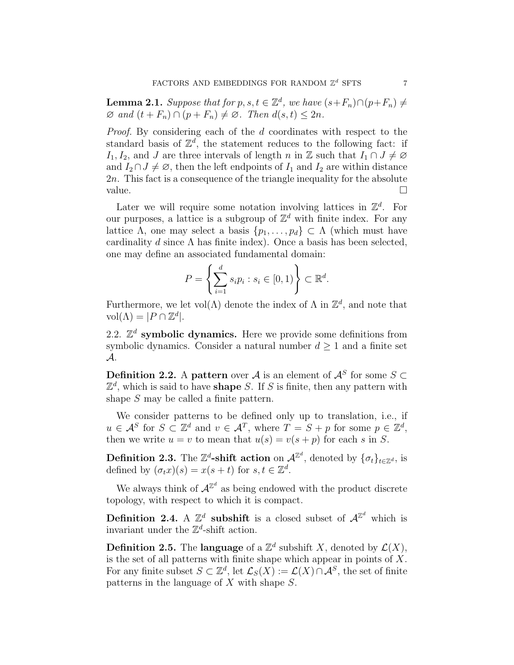**Lemma 2.1.** Suppose that for  $p, s, t \in \mathbb{Z}^d$ , we have  $(s+F_n) \cap (p+F_n) \neq$  $\varnothing$  and  $(t + F_n) \cap (p + F_n) \neq \varnothing$ . Then  $d(s, t) \leq 2n$ .

Proof. By considering each of the d coordinates with respect to the standard basis of  $\mathbb{Z}^d$ , the statement reduces to the following fact: if I<sub>1</sub>, I<sub>2</sub>, and J are three intervals of length n in Z such that  $I_1 \cap J \neq \emptyset$ and  $I_2 \cap J \neq \emptyset$ , then the left endpoints of  $I_1$  and  $I_2$  are within distance 2n. This fact is a consequence of the triangle inequality for the absolute value.  $\Box$ 

Later we will require some notation involving lattices in  $\mathbb{Z}^d$ . For our purposes, a lattice is a subgroup of  $\mathbb{Z}^d$  with finite index. For any lattice Λ, one may select a basis  $\{p_1, \ldots, p_d\} \subset \Lambda$  (which must have cardinality d since  $\Lambda$  has finite index). Once a basis has been selected, one may define an associated fundamental domain:

$$
P = \left\{ \sum_{i=1}^d s_i p_i : s_i \in [0,1) \right\} \subset \mathbb{R}^d.
$$

Furthermore, we let  $vol(\Lambda)$  denote the index of  $\Lambda$  in  $\mathbb{Z}^d$ , and note that  $vol(\Lambda) = |P \cap \mathbb{Z}^d|.$ 

2.2.  $\mathbb{Z}^d$  symbolic dynamics. Here we provide some definitions from symbolic dynamics. Consider a natural number  $d \geq 1$  and a finite set A.

**Definition 2.2.** A pattern over A is an element of  $\mathcal{A}^S$  for some  $S \subset$  $\mathbb{Z}^d$ , which is said to have **shape** S. If S is finite, then any pattern with shape S may be called a finite pattern.

We consider patterns to be defined only up to translation, i.e., if  $u \in \mathcal{A}^S$  for  $S \subset \mathbb{Z}^d$  and  $v \in \mathcal{A}^T$ , where  $T = S + p$  for some  $p \in \mathbb{Z}^d$ , then we write  $u = v$  to mean that  $u(s) = v(s + p)$  for each s in S.

**Definition 2.3.** The  $\mathbb{Z}^d$ -shift action on  $\mathcal{A}^{\mathbb{Z}^d}$ , denoted by  $\{\sigma_t\}_{t \in \mathbb{Z}^d}$ , is defined by  $(\sigma_t x)(s) = x(s+t)$  for  $s, t \in \mathbb{Z}^d$ .

We always think of  $\mathcal{A}^{\mathbb{Z}^d}$  as being endowed with the product discrete topology, with respect to which it is compact.

**Definition 2.4.** A  $\mathbb{Z}^d$  subshift is a closed subset of  $\mathcal{A}^{\mathbb{Z}^d}$  which is invariant under the  $\mathbb{Z}^d$ -shift action.

**Definition 2.5.** The **language** of a  $\mathbb{Z}^d$  subshift X, denoted by  $\mathcal{L}(X)$ , is the set of all patterns with finite shape which appear in points of  $X$ . For any finite subset  $S \subset \mathbb{Z}^d$ , let  $\mathcal{L}_S(X) := \mathcal{L}(X) \cap \mathcal{A}^S$ , the set of finite patterns in the language of X with shape S.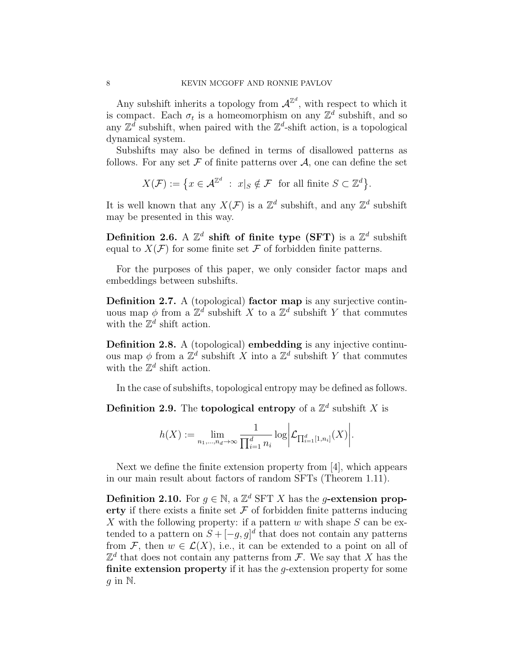Any subshift inherits a topology from  $\mathcal{A}^{\mathbb{Z}^d}$ , with respect to which it is compact. Each  $\sigma_t$  is a homeomorphism on any  $\mathbb{Z}^d$  subshift, and so any  $\mathbb{Z}^d$  subshift, when paired with the  $\mathbb{Z}^d$ -shift action, is a topological dynamical system.

Subshifts may also be defined in terms of disallowed patterns as follows. For any set  $\mathcal F$  of finite patterns over  $\mathcal A$ , one can define the set

$$
X(\mathcal{F}) := \{ x \in \mathcal{A}^{\mathbb{Z}^d} : x|_S \notin \mathcal{F} \text{ for all finite } S \subset \mathbb{Z}^d \}.
$$

It is well known that any  $X(\mathcal{F})$  is a  $\mathbb{Z}^d$  subshift, and any  $\mathbb{Z}^d$  subshift may be presented in this way.

Definition 2.6. A  $\mathbb{Z}^d$  shift of finite type (SFT) is a  $\mathbb{Z}^d$  subshift equal to  $X(\mathcal{F})$  for some finite set  $\mathcal F$  of forbidden finite patterns.

For the purposes of this paper, we only consider factor maps and embeddings between subshifts.

Definition 2.7. A (topological) factor map is any surjective continuous map  $\phi$  from a  $\mathbb{Z}^d$  subshift X to a  $\mathbb{Z}^d$  subshift Y that commutes with the  $\mathbb{Z}^d$  shift action.

Definition 2.8. A (topological) embedding is any injective continuous map  $\phi$  from a  $\mathbb{Z}^d$  subshift X into a  $\mathbb{Z}^d$  subshift Y that commutes with the  $\mathbb{Z}^d$  shift action.

In the case of subshifts, topological entropy may be defined as follows.

**Definition 2.9.** The **topological entropy** of a  $\mathbb{Z}^d$  subshift X is

$$
h(X) := \lim_{n_1,\dots,n_d\to\infty} \frac{1}{\prod_{i=1}^d n_i} \log \bigg| \mathcal{L}_{\prod_{i=1}^d [1,n_i]}(X) \bigg|.
$$

Next we define the finite extension property from [4], which appears in our main result about factors of random SFTs (Theorem 1.11).

**Definition 2.10.** For  $g \in \mathbb{N}$ , a  $\mathbb{Z}^d$  SFT X has the g-extension property if there exists a finite set  $\mathcal F$  of forbidden finite patterns inducing X with the following property: if a pattern  $w$  with shape  $S$  can be extended to a pattern on  $S + [-g, g]^d$  that does not contain any patterns from F, then  $w \in \mathcal{L}(X)$ , i.e., it can be extended to a point on all of  $\mathbb{Z}^d$  that does not contain any patterns from F. We say that X has the finite extension property if it has the *q*-extension property for some q in  $\mathbb N$ .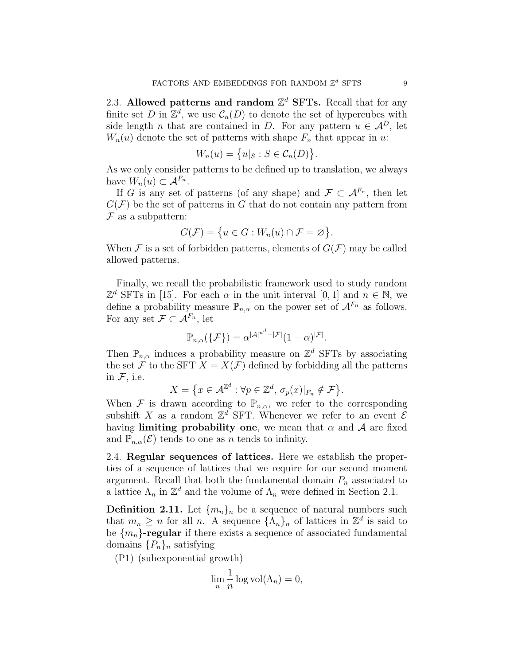2.3. Allowed patterns and random  $\mathbb{Z}^d$  SFTs. Recall that for any finite set D in  $\mathbb{Z}^d$ , we use  $\mathcal{C}_n(D)$  to denote the set of hypercubes with side length *n* that are contained in *D*. For any pattern  $u \in A^D$ , let  $W_n(u)$  denote the set of patterns with shape  $F_n$  that appear in u:

$$
W_n(u) = \{u|_S : S \in \mathcal{C}_n(D)\}.
$$

As we only consider patterns to be defined up to translation, we always have  $W_n(u) \subset \mathcal{A}^{F_n}$ .

If G is any set of patterns (of any shape) and  $\mathcal{F} \subset \mathcal{A}^{F_n}$ , then let  $G(\mathcal{F})$  be the set of patterns in G that do not contain any pattern from  $F$  as a subpattern:

$$
G(\mathcal{F})=\big\{u\in G: W_n(u)\cap \mathcal{F}=\varnothing\big\}.
$$

When  $\mathcal F$  is a set of forbidden patterns, elements of  $G(\mathcal F)$  may be called allowed patterns.

Finally, we recall the probabilistic framework used to study random  $\mathbb{Z}^d$  SFTs in [15]. For each  $\alpha$  in the unit interval [0, 1] and  $n \in \mathbb{N}$ , we define a probability measure  $\mathbb{P}_{n,\alpha}$  on the power set of  $\mathcal{A}^{F_n}$  as follows. For any set  $\mathcal{F} \subset \mathcal{A}^{F_n}$ , let

$$
\mathbb{P}_{n,\alpha}(\{\mathcal{F}\}) = \alpha^{|\mathcal{A}|^{n^d} - |\mathcal{F}|} (1 - \alpha)^{|\mathcal{F}|}.
$$

Then  $\mathbb{P}_{n,\alpha}$  induces a probability measure on  $\mathbb{Z}^d$  SFTs by associating the set F to the SFT  $X = X(\mathcal{F})$  defined by forbidding all the patterns in  $F$ , i.e.

$$
X = \{ x \in \mathcal{A}^{\mathbb{Z}^d} : \forall p \in \mathbb{Z}^d, \, \sigma_p(x) \vert_{F_n} \notin \mathcal{F} \}.
$$

When F is drawn according to  $\mathbb{P}_{n,\alpha}$ , we refer to the corresponding subshift X as a random  $\mathbb{Z}^d$  SFT. Whenever we refer to an event  $\mathcal E$ having limiting probability one, we mean that  $\alpha$  and  $\beta$  are fixed and  $\mathbb{P}_{n,\alpha}(\mathcal{E})$  tends to one as n tends to infinity.

2.4. Regular sequences of lattices. Here we establish the properties of a sequence of lattices that we require for our second moment argument. Recall that both the fundamental domain  $P_n$  associated to a lattice  $\Lambda_n$  in  $\mathbb{Z}^d$  and the volume of  $\Lambda_n$  were defined in Section 2.1.

**Definition 2.11.** Let  ${m_n}_n$  be a sequence of natural numbers such that  $m_n \geq n$  for all n. A sequence  $\{\Lambda_n\}_n$  of lattices in  $\mathbb{Z}^d$  is said to be  ${m_n}$ -regular if there exists a sequence of associated fundamental domains  $\{P_n\}_n$  satisfying

(P1) (subexponential growth)

$$
\lim_{n} \frac{1}{n} \log \text{vol}(\Lambda_n) = 0,
$$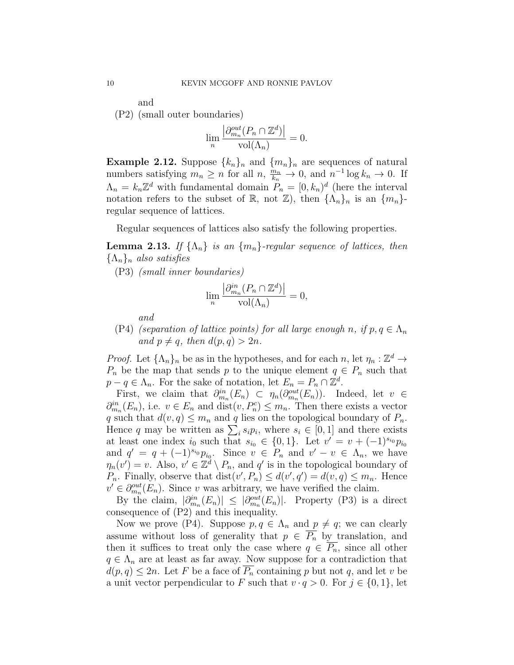and

(P2) (small outer boundaries)

$$
\lim_{n} \frac{\left| \partial_{m_n}^{out}(P_n \cap \mathbb{Z}^d) \right|}{\text{vol}(\Lambda_n)} = 0.
$$

**Example 2.12.** Suppose  $\{k_n\}_n$  and  $\{m_n\}_n$  are sequences of natural numbers satisfying  $m_n \ge n$  for all  $n, \frac{m_n}{k_n} \to 0$ , and  $n^{-1} \log k_n \to 0$ . If  $\Lambda_n = k_n \mathbb{Z}^d$  with fundamental domain  $P_n = [0, k_n]^d$  (here the interval notation refers to the subset of R, not  $\mathbb{Z}$ ), then  $\{\Lambda_n\}_n$  is an  $\{m_n\}$ regular sequence of lattices.

Regular sequences of lattices also satisfy the following properties.

**Lemma 2.13.** If  $\{\Lambda_n\}$  is an  $\{m_n\}$ -regular sequence of lattices, then  ${\{\Lambda_n\}_n}$  also satisfies

(P3) (small inner boundaries)

$$
\lim_{n} \frac{\left| \partial_{m_n}^{in} (P_n \cap \mathbb{Z}^d) \right|}{\text{vol}(\Lambda_n)} = 0,
$$

and

(P4) (separation of lattice points) for all large enough n, if  $p, q \in \Lambda_n$ and  $p \neq q$ , then  $d(p, q) > 2n$ .

*Proof.* Let  $\{\Lambda_n\}_n$  be as in the hypotheses, and for each n, let  $\eta_n : \mathbb{Z}^d \to$  $P_n$  be the map that sends p to the unique element  $q \in P_n$  such that  $p - q \in \Lambda_n$ . For the sake of notation, let  $E_n = P_n \cap \mathbb{Z}^d$ .

First, we claim that  $\partial_{m_n}^{in}(E_n) \subset \eta_n(\partial_{m_n}^{out}(E_n))$ . Indeed, let  $v \in$  $\partial_{m_n}^{in}(E_n)$ , i.e.  $v \in E_n$  and  $dist(v, P_n^c) \leq m_n$ . Then there exists a vector q such that  $d(v, q) \leq m_n$  and q lies on the topological boundary of  $P_n$ . Hence q may be written as  $\sum_i s_i p_i$ , where  $s_i \in [0,1]$  and there exists at least one index  $i_0$  such that  $s_{i_0} \in \{0,1\}$ . Let  $v' = v + (-1)^{s_{i_0}} p_{i_0}$ and  $q' = q + (-1)^{s_{i_0}} p_{i_0}$ . Since  $v \in P_n$  and  $v' - v \in \Lambda_n$ , we have  $\eta_n(v') = v$ . Also,  $v' \in \mathbb{Z}^d \setminus P_n$ , and q' is in the topological boundary of  $P_n$ . Finally, observe that  $dist(v', P_n) \leq d(v', q') = d(v, q) \leq m_n$ . Hence  $v' \in \partial_{m_n}^{out}(E_n)$ . Since v was arbitrary, we have verified the claim.

By the claim,  $|\partial_{m_n}^{in}(E_n)| \leq |\partial_{m_n}^{out}(E_n)|$ . Property (P3) is a direct consequence of (P2) and this inequality.

Now we prove (P4). Suppose  $p, q \in \Lambda_n$  and  $p \neq q$ ; we can clearly assume without loss of generality that  $p \in \overline{P_n}$  by translation, and then it suffices to treat only the case where  $q \in \overline{P_n}$ , since all other  $q \in \Lambda_n$  are at least as far away. Now suppose for a contradiction that  $d(p,q) \leq 2n$ . Let F be a face of  $\overline{P_n}$  containing p but not q, and let v be a unit vector perpendicular to F such that  $v \cdot q > 0$ . For  $j \in \{0, 1\}$ , let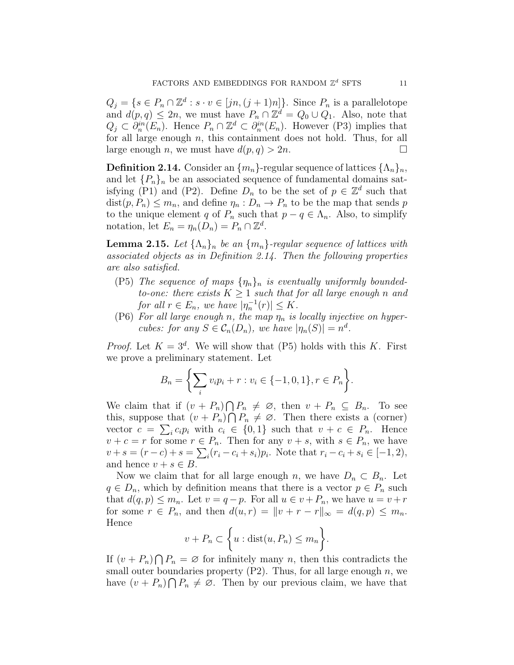$Q_j = \{ s \in P_n \cap \mathbb{Z}^d : s \cdot v \in [jn, (j+1)n] \}.$  Since  $P_n$  is a parallelotope and  $d(p, q) \leq 2n$ , we must have  $P_n \cap \mathbb{Z}^d = Q_0 \cup Q_1$ . Also, note that  $Q_j \subset \partial_n^{in}(E_n)$ . Hence  $P_n \cap \mathbb{Z}^d \subset \partial_n^{in}(E_n)$ . However (P3) implies that for all large enough  $n$ , this containment does not hold. Thus, for all large enough n, we must have  $d(p, q) > 2n$ .

**Definition 2.14.** Consider an  $\{m_n\}$ -regular sequence of lattices  $\{\Lambda_n\}_n$ , and let  $\{P_n\}_n$  be an associated sequence of fundamental domains satisfying (P1) and (P2). Define  $D_n$  to be the set of  $p \in \mathbb{Z}^d$  such that  $dist(p, P_n) \leq m_n$ , and define  $\eta_n : D_n \to P_n$  to be the map that sends p to the unique element q of  $P_n$  such that  $p - q \in \Lambda_n$ . Also, to simplify notation, let  $E_n = \eta_n(\overline{D}_n) = P_n \cap \mathbb{Z}^d$ .

**Lemma 2.15.** Let  $\{\Lambda_n\}_n$  be an  $\{m_n\}$ -regular sequence of lattices with associated objects as in Definition 2.14. Then the following properties are also satisfied.

- (P5) The sequence of maps  $\{\eta_n\}_n$  is eventually uniformly boundedto-one: there exists  $K \geq 1$  such that for all large enough n and for all  $r \in E_n$ , we have  $|\eta_n^{-1}(r)| \leq K$ .
- (P6) For all large enough n, the map  $\eta_n$  is locally injective on hypercubes: for any  $S \in C_n(D_n)$ , we have  $|\eta_n(S)| = n^d$ .

*Proof.* Let  $K = 3^d$ . We will show that (P5) holds with this K. First we prove a preliminary statement. Let

$$
B_n = \left\{ \sum_i v_i p_i + r : v_i \in \{-1, 0, 1\}, r \in P_n \right\}.
$$

We claim that if  $(v + P_n) \cap P_n \neq \emptyset$ , then  $v + P_n \subseteq B_n$ . To see this, suppose that  $(v + P_n) \cap P_n \neq \emptyset$ . Then there exists a (corner) vector  $c = \sum_i c_i p_i$  with  $c_i \in \{0, 1\}$  such that  $v + c \in P_n$ . Hence  $v + c = r$  for some  $r \in P_n$ . Then for any  $v + s$ , with  $s \in P_n$ , we have  $v + s = (r - c) + s = \sum_{i} (r_i - c_i + s_i) p_i$ . Note that  $r_i - c_i + s_i \in [-1, 2)$ , and hence  $v + s \in B$ .

Now we claim that for all large enough n, we have  $D_n \subset B_n$ . Let  $q \in D_n$ , which by definition means that there is a vector  $p \in P_n$  such that  $d(q, p) \leq m_n$ . Let  $v = q - p$ . For all  $u \in v + P_n$ , we have  $u = v + r$ for some  $r \in P_n$ , and then  $d(u,r) = ||v + r - r||_{\infty} = d(q,p) \leq m_n$ . Hence

$$
v + P_n \subset \bigg\{ u : \text{dist}(u, P_n) \le m_n \bigg\}.
$$

If  $(v + P_n) \bigcap P_n = \emptyset$  for infinitely many n, then this contradicts the small outer boundaries property  $(P2)$ . Thus, for all large enough n, we have  $(v + P_n) \bigcap P_n \neq \emptyset$ . Then by our previous claim, we have that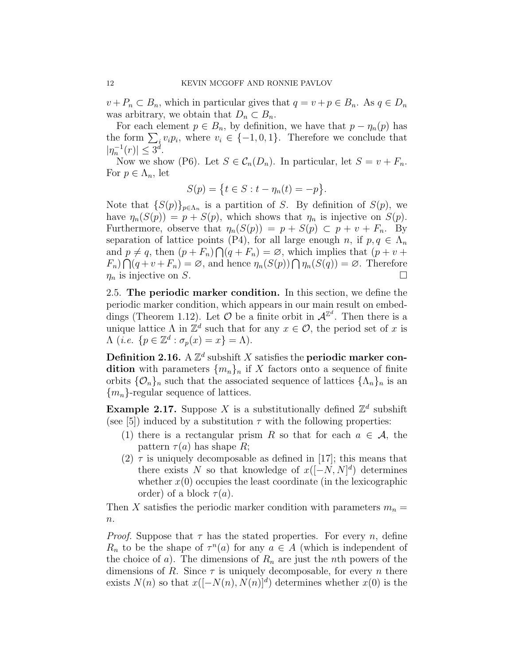$v + P_n \subset B_n$ , which in particular gives that  $q = v + p \in B_n$ . As  $q \in D_n$ was arbitrary, we obtain that  $D_n \subset B_n$ .

For each element  $p \in B_n$ , by definition, we have that  $p - \eta_n(p)$  has the form  $\sum_i v_i p_i$ , where  $v_i \in \{-1,0,1\}$ . Therefore we conclude that  $|\eta_n^{-1}(r)| \leq 3^d$ .

Now we show (P6). Let  $S \in \mathcal{C}_n(D_n)$ . In particular, let  $S = v + F_n$ . For  $p \in \Lambda_n$ , let

$$
S(p) = \{ t \in S : t - \eta_n(t) = -p \}.
$$

Note that  $\{S(p)\}_{p\in\Lambda_n}$  is a partition of S. By definition of  $S(p)$ , we have  $\eta_n(S(p)) = p + S(p)$ , which shows that  $\eta_n$  is injective on  $S(p)$ . Furthermore, observe that  $\eta_n(S(p)) = p + S(p) \subset p + v + F_n$ . By separation of lattice points (P4), for all large enough n, if  $p, q \in \Lambda_n$ and  $p \neq q$ , then  $(p + F_n) \bigcap (q + F_n) = \emptyset$ , which implies that  $(p + v +$  $F_n \cap (q+v+F_n) = \varnothing$ , and hence  $\eta_n(S(p)) \cap \eta_n(S(q)) = \varnothing$ . Therefore  $\eta_n$  is injective on S.

2.5. The periodic marker condition. In this section, we define the periodic marker condition, which appears in our main result on embeddings (Theorem 1.12). Let  $\mathcal O$  be a finite orbit in  $\mathcal A^{\mathbb{Z}^d}$ . Then there is a unique lattice  $\Lambda$  in  $\mathbb{Z}^d$  such that for any  $x \in \mathcal{O}$ , the period set of x is  $\Lambda$  (*i.e.*  $\{p \in \mathbb{Z}^d : \sigma_p(x) = x\} = \Lambda$ ).

Definition 2.16. A  $\mathbb{Z}^d$  subshift X satisfies the periodic marker condition with parameters  $\{m_n\}_n$  if X factors onto a sequence of finite orbits  $\{O_n\}_n$  such that the associated sequence of lattices  $\{\Lambda_n\}_n$  is an  ${m_n}$ -regular sequence of lattices.

**Example 2.17.** Suppose X is a substitutionally defined  $\mathbb{Z}^d$  subshift (see [5]) induced by a substitution  $\tau$  with the following properties:

- (1) there is a rectangular prism R so that for each  $a \in \mathcal{A}$ , the pattern  $\tau(a)$  has shape R;
- (2)  $\tau$  is uniquely decomposable as defined in [17]; this means that there exists N so that knowledge of  $x([-N, N]^d)$  determines whether  $x(0)$  occupies the least coordinate (in the lexicographic order) of a block  $\tau(a)$ .

Then X satisfies the periodic marker condition with parameters  $m_n =$  $n$ .

*Proof.* Suppose that  $\tau$  has the stated properties. For every n, define  $R_n$  to be the shape of  $\tau^n(a)$  for any  $a \in A$  (which is independent of the choice of a). The dimensions of  $R_n$  are just the *n*th powers of the dimensions of R. Since  $\tau$  is uniquely decomposable, for every n there exists  $N(n)$  so that  $x([-N(n), N(n)]^d)$  determines whether  $x(0)$  is the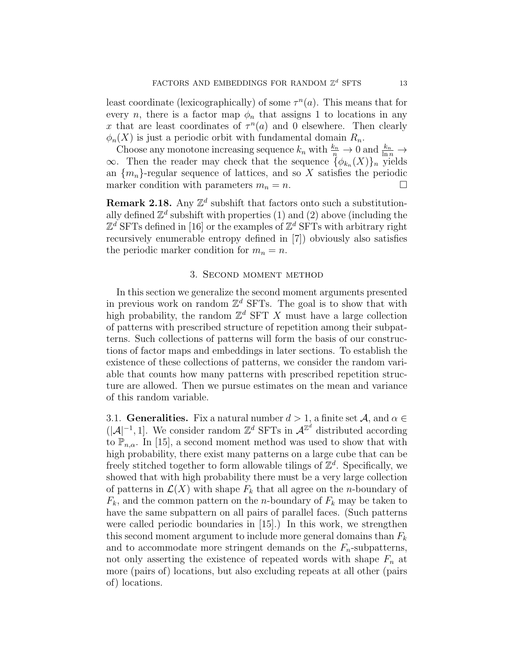least coordinate (lexicographically) of some  $\tau^{n}(a)$ . This means that for every *n*, there is a factor map  $\phi_n$  that assigns 1 to locations in any x that are least coordinates of  $\tau^n(a)$  and 0 elsewhere. Then clearly  $\phi_n(X)$  is just a periodic orbit with fundamental domain  $R_n$ .

Choose any monotone increasing sequence  $k_n$  with  $\frac{k_n}{n} \to 0$  and  $\frac{k_n}{\ln n} \to$  $\infty$ . Then the reader may check that the sequence  $\{\phi_{k_n}(X)\}_n$  yields an  $\{m_n\}$ -regular sequence of lattices, and so X satisfies the periodic marker condition with parameters  $m_n = n$ .

**Remark 2.18.** Any  $\mathbb{Z}^d$  subshift that factors onto such a substitutionally defined  $\mathbb{Z}^d$  subshift with properties (1) and (2) above (including the  $\mathbb{Z}^d$  SFTs defined in [16] or the examples of  $\mathbb{Z}^d$  SFTs with arbitrary right recursively enumerable entropy defined in [7]) obviously also satisfies the periodic marker condition for  $m_n = n$ .

## 3. Second moment method

In this section we generalize the second moment arguments presented in previous work on random  $\mathbb{Z}^d$  SFTs. The goal is to show that with high probability, the random  $\mathbb{Z}^d$  SFT X must have a large collection of patterns with prescribed structure of repetition among their subpatterns. Such collections of patterns will form the basis of our constructions of factor maps and embeddings in later sections. To establish the existence of these collections of patterns, we consider the random variable that counts how many patterns with prescribed repetition structure are allowed. Then we pursue estimates on the mean and variance of this random variable.

3.1. **Generalities.** Fix a natural number  $d > 1$ , a finite set  $\mathcal{A}$ , and  $\alpha \in \mathcal{A}$  $(|A|^{-1}, 1]$ . We consider random  $\mathbb{Z}^d$  SFTs in  $\mathcal{A}^{\mathbb{Z}^d}$  distributed according to  $\mathbb{P}_{n,\alpha}$ . In [15], a second moment method was used to show that with high probability, there exist many patterns on a large cube that can be freely stitched together to form allowable tilings of  $\mathbb{Z}^d$ . Specifically, we showed that with high probability there must be a very large collection of patterns in  $\mathcal{L}(X)$  with shape  $F_k$  that all agree on the *n*-boundary of  $F_k$ , and the common pattern on the *n*-boundary of  $F_k$  may be taken to have the same subpattern on all pairs of parallel faces. (Such patterns were called periodic boundaries in [15].) In this work, we strengthen this second moment argument to include more general domains than  $F_k$ and to accommodate more stringent demands on the  $F_n$ -subpatterns, not only asserting the existence of repeated words with shape  $F_n$  at more (pairs of) locations, but also excluding repeats at all other (pairs of) locations.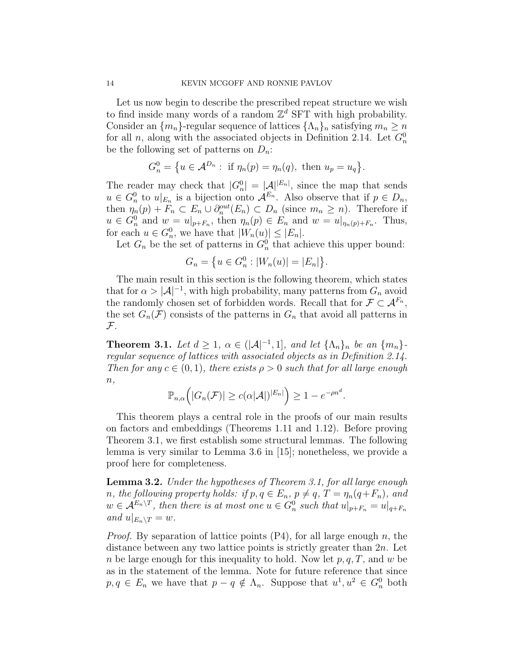Let us now begin to describe the prescribed repeat structure we wish to find inside many words of a random  $\mathbb{Z}^d$  SFT with high probability. Consider an  $\{m_n\}$ -regular sequence of lattices  $\{\Lambda_n\}_n$  satisfying  $m_n \geq n$ for all *n*, along with the associated objects in Definition 2.14. Let  $G_n^0$ be the following set of patterns on  $D_n$ :

$$
G_n^0 = \{ u \in \mathcal{A}^{D_n} : \text{ if } \eta_n(p) = \eta_n(q), \text{ then } u_p = u_q \}.
$$

The reader may check that  $|G_n^0| = |\mathcal{A}|^{|E_n|}$ , since the map that sends  $u \in G_n^0$  to  $u|_{E_n}$  is a bijection onto  $\mathcal{A}^{E_n}$ . Also observe that if  $p \in D_n$ , then  $\eta_n(p) + F_n \subset E_n \cup \partial_n^{out}(E_n) \subset D_n$  (since  $m_n \geq n$ ). Therefore if  $u \in G_n^0$  and  $w = u|_{p+F_n}$ , then  $\eta_n(p) \in E_n$  and  $w = u|_{\eta_n(p)+F_n}$ . Thus, for each  $u \in G_n^0$ , we have that  $|W_n(u)| \leq |E_n|$ .

Let  $G_n$  be the set of patterns in  $G_n^0$  that achieve this upper bound:

$$
G_n = \{ u \in G_n^0 : |W_n(u)| = |E_n| \}.
$$

The main result in this section is the following theorem, which states that for  $\alpha > |\mathcal{A}|^{-1}$ , with high probability, many patterns from  $G_n$  avoid the randomly chosen set of forbidden words. Recall that for  $\mathcal{F} \subset \mathcal{A}^{F_n}$ , the set  $G_n(\mathcal{F})$  consists of the patterns in  $G_n$  that avoid all patterns in  ${\mathcal F}$ .

**Theorem 3.1.** Let  $d \geq 1$ ,  $\alpha \in (|\mathcal{A}|^{-1}, 1]$ , and let  $\{\Lambda_n\}_n$  be an  $\{m_n\}$ regular sequence of lattices with associated objects as in Definition 2.14. Then for any  $c \in (0,1)$ , there exists  $\rho > 0$  such that for all large enough  $n,$ 

$$
\mathbb{P}_{n,\alpha}\Big(|G_n(\mathcal{F})| \ge c(\alpha|\mathcal{A}|)^{|E_n|}\Big) \ge 1 - e^{-\rho n^d}.
$$

This theorem plays a central role in the proofs of our main results on factors and embeddings (Theorems 1.11 and 1.12). Before proving Theorem 3.1, we first establish some structural lemmas. The following lemma is very similar to Lemma 3.6 in [15]; nonetheless, we provide a proof here for completeness.

**Lemma 3.2.** Under the hypotheses of Theorem 3.1, for all large enough n, the following property holds: if  $p, q \in E_n$ ,  $p \neq q$ ,  $T = \eta_n(q+F_n)$ , and  $w \in \mathcal{A}^{E_n \setminus T}$ , then there is at most one  $u \in G_n^0$  such that  $u|_{p+F_n} = u|_{q+F_n}$ and  $u|_{E_n \setminus T} = w$ .

*Proof.* By separation of lattice points  $(P4)$ , for all large enough n, the distance between any two lattice points is strictly greater than  $2n$ . Let n be large enough for this inequality to hold. Now let  $p, q, T$ , and w be as in the statement of the lemma. Note for future reference that since  $p, q \in E_n$  we have that  $p - q \notin \Lambda_n$ . Suppose that  $u^1, u^2 \in G_n^0$  both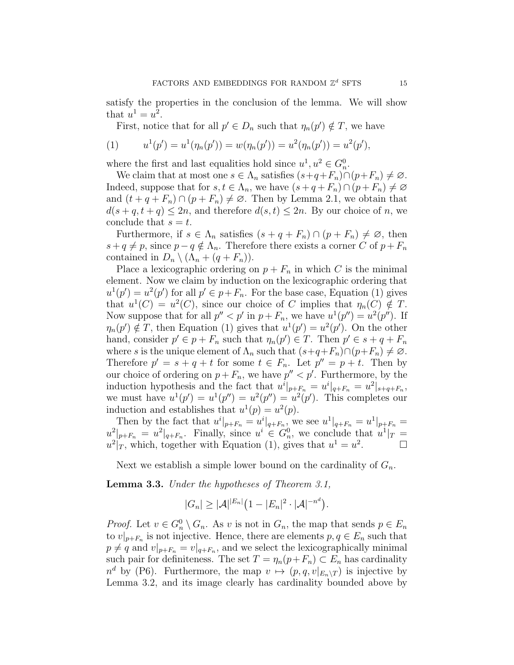satisfy the properties in the conclusion of the lemma. We will show that  $u^1 = u^2$ .

First, notice that for all  $p' \in D_n$  such that  $\eta_n(p') \notin T$ , we have

(1) 
$$
u^{1}(p') = u^{1}(\eta_{n}(p')) = w(\eta_{n}(p')) = u^{2}(\eta_{n}(p')) = u^{2}(p'),
$$

where the first and last equalities hold since  $u^1, u^2 \in G_n^0$ .

We claim that at most one  $s \in \Lambda_n$  satisfies  $(s+q+F_n) \cap (p+F_n) \neq \emptyset$ . Indeed, suppose that for  $s, t \in \Lambda_n$ , we have  $(s + q + F_n) \cap (p + F_n) \neq \emptyset$ and  $(t + q + F_n) \cap (p + F_n) \neq \emptyset$ . Then by Lemma 2.1, we obtain that  $d(s + q, t + q) \leq 2n$ , and therefore  $d(s, t) \leq 2n$ . By our choice of n, we conclude that  $s = t$ .

Furthermore, if  $s \in \Lambda_n$  satisfies  $(s + q + F_n) \cap (p + F_n) \neq \emptyset$ , then  $s + q \neq p$ , since  $p - q \notin \Lambda_n$ . Therefore there exists a corner C of  $p + F_n$ contained in  $D_n \setminus (\Lambda_n + (q + F_n)).$ 

Place a lexicographic ordering on  $p + F_n$  in which C is the minimal element. Now we claim by induction on the lexicographic ordering that  $u^1(p') = u^2(p')$  for all  $p' \in p + F_n$ . For the base case, Equation (1) gives that  $u^1(C) = u^2(C)$ , since our choice of C implies that  $\eta_n(C) \notin T$ . Now suppose that for all  $p'' < p'$  in  $p + F_n$ , we have  $u^1(p'') = u^2(p'')$ . If  $\eta_n(p') \notin T$ , then Equation (1) gives that  $u^1(p') = u^2(p')$ . On the other hand, consider  $p' \in p + F_n$  such that  $\eta_n(p') \in T$ . Then  $p' \in s + q + F_n$ where s is the unique element of  $\Lambda_n$  such that  $(s+q+F_n)\cap (p+F_n)\neq \emptyset$ . Therefore  $p' = s + q + t$  for some  $t \in F_n$ . Let  $p'' = p + t$ . Then by our choice of ordering on  $p + F_n$ , we have  $p'' < p'$ . Furthermore, by the induction hypothesis and the fact that  $u^i|_{p+F_n} = u^i|_{q+F_n} = u^2|_{s+q+F_n}$ , we must have  $u^1(p') = u^1(p'') = u^2(p'') = u^2(p')$ . This completes our induction and establishes that  $u^1(p) = u^2(p)$ .

Then by the fact that  $u^i|_{p+F_n} = u^i|_{q+F_n}$ , we see  $u^1|_{q+F_n} = u^1|_{p+F_n} =$  $u^2|_{p+F_n} = u^2|_{q+F_n}$ . Finally, since  $u^i \in G_n^0$ , we conclude that  $u^1|_{T} =$  $u^2|_T$ , which, together with Equation (1), gives that  $u^1 = u^2$ .

Next we establish a simple lower bound on the cardinality of  $G_n$ .

Lemma 3.3. Under the hypotheses of Theorem 3.1,

$$
|G_n| \geq |\mathcal{A}|^{|E_n|} (1 - |E_n|^2 \cdot |\mathcal{A}|^{-n^d}).
$$

*Proof.* Let  $v \in G_n^0 \setminus G_n$ . As v is not in  $G_n$ , the map that sends  $p \in E_n$ to  $v|_{p+F_n}$  is not injective. Hence, there are elements  $p, q \in E_n$  such that  $p \neq q$  and  $v|_{p+F_n} = v|_{q+F_n}$ , and we select the lexicographically minimal such pair for definiteness. The set  $T = \eta_n(p+F_n) \subset E_n$  has cardinality  $n^d$  by (P6). Furthermore, the map  $v \mapsto (p, q, v|_{E_n \setminus T})$  is injective by Lemma 3.2, and its image clearly has cardinality bounded above by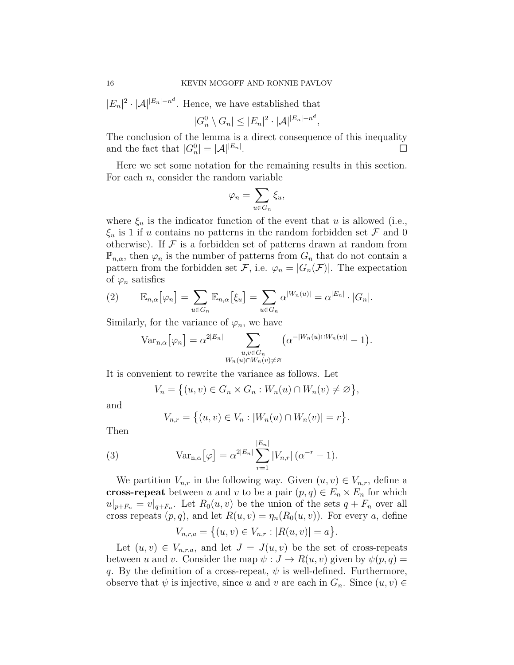$|E_n|^2 \cdot |\mathcal{A}|^{|E_n|-n^d}$ . Hence, we have established that

$$
|G_n^0 \setminus G_n| \leq |E_n|^2 \cdot |\mathcal{A}|^{|E_n| - n^d},
$$

The conclusion of the lemma is a direct consequence of this inequality and the fact that  $|G_n^0| = |\mathcal{A}|^{|E_n|}$ .

Here we set some notation for the remaining results in this section. For each  $n$ , consider the random variable

$$
\varphi_n = \sum_{u \in G_n} \xi_u,
$$

where  $\xi_u$  is the indicator function of the event that u is allowed (i.e.,  $\xi_u$  is 1 if u contains no patterns in the random forbidden set F and 0 otherwise). If  $\mathcal F$  is a forbidden set of patterns drawn at random from  $\mathbb{P}_{n,\alpha}$ , then  $\varphi_n$  is the number of patterns from  $G_n$  that do not contain a pattern from the forbidden set F, i.e.  $\varphi_n = |G_n(\mathcal{F})|$ . The expectation of  $\varphi_n$  satisfies

(2) 
$$
\mathbb{E}_{n,\alpha}[\varphi_n] = \sum_{u \in G_n} \mathbb{E}_{n,\alpha}[\xi_u] = \sum_{u \in G_n} \alpha^{|W_n(u)|} = \alpha^{|E_n|} \cdot |G_n|.
$$

Similarly, for the variance of  $\varphi_n$ , we have

$$
\text{Var}_{n,\alpha}[\varphi_n] = \alpha^{2|E_n|} \sum_{\substack{u,v \in G_n \\ W_n(u) \cap W_n(v) \neq \varnothing}} \left( \alpha^{-|W_n(u) \cap W_n(v)|} - 1 \right).
$$

It is convenient to rewrite the variance as follows. Let

$$
V_n = \big\{ (u, v) \in G_n \times G_n : W_n(u) \cap W_n(v) \neq \varnothing \big\},\
$$

and

$$
V_{n,r} = \{(u,v) \in V_n : |W_n(u) \cap W_n(v)| = r\}.
$$

Then

(3) 
$$
\text{Var}_{n,\alpha}[\varphi] = \alpha^{2|E_n|} \sum_{r=1}^{|E_n|} |V_{n,r}| (\alpha^{-r} - 1).
$$

We partition  $V_{n,r}$  in the following way. Given  $(u, v) \in V_{n,r}$ , define a cross-repeat between u and v to be a pair  $(p, q) \in E_n \times E_n$  for which  $u|_{p+F_n} = v|_{q+F_n}$ . Let  $R_0(u, v)$  be the union of the sets  $q+F_n$  over all cross repeats  $(p, q)$ , and let  $R(u, v) = \eta_n(R_0(u, v))$ . For every a, define

$$
V_{n,r,a} = \{(u,v) \in V_{n,r} : |R(u,v)| = a\}.
$$

Let  $(u, v) \in V_{n,r,a}$ , and let  $J = J(u, v)$  be the set of cross-repeats between u and v. Consider the map  $\psi : J \to R(u, v)$  given by  $\psi(p, q) =$ q. By the definition of a cross-repeat,  $\psi$  is well-defined. Furthermore, observe that  $\psi$  is injective, since u and v are each in  $G_n$ . Since  $(u, v) \in$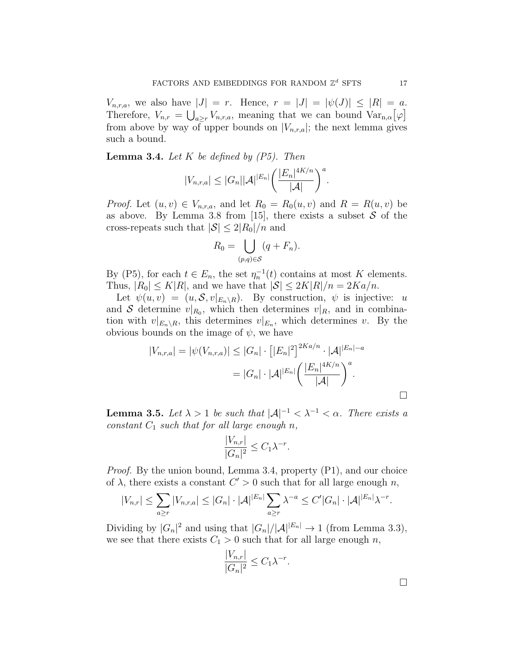$V_{n,r,a}$ , we also have  $|J| = r$ . Hence,  $r = |J| = |\psi(J)| \leq |R| = a$ . Therefore,  $V_{n,r} = \bigcup_{a \geq r} V_{n,r,a}$ , meaning that we can bound  $Var_{n,\alpha}[\varphi]$ from above by way of upper bounds on  $|V_{n,r,a}|$ ; the next lemma gives such a bound.

**Lemma 3.4.** Let K be defined by  $(P5)$ . Then

$$
|V_{n,r,a}| \leq |G_n| |\mathcal{A}|^{|E_n|} \bigg( \frac{|E_n|^{4K/n}}{|\mathcal{A}|} \bigg)^a.
$$

*Proof.* Let  $(u, v) \in V_{n,r,a}$ , and let  $R_0 = R_0(u, v)$  and  $R = R(u, v)$  be as above. By Lemma 3.8 from [15], there exists a subset  $S$  of the cross-repeats such that  $|S| \leq 2|R_0|/n$  and

$$
R_0 = \bigcup_{(p,q)\in S} (q + F_n).
$$

By (P5), for each  $t \in E_n$ , the set  $\eta_n^{-1}(t)$  contains at most K elements. Thus,  $|R_0| \leq K|R|$ , and we have that  $|S| \leq 2K|R|/n = 2Ka/n$ .

Let  $\psi(u, v) = (u, \mathcal{S}, v|_{E_n \setminus R})$ . By construction,  $\psi$  is injective: u and S determine  $v|_{R_0}$ , which then determines  $v|_{R_1}$  and in combination with  $v|_{E_n \setminus R}$ , this determines  $v|_{E_n}$ , which determines v. By the obvious bounds on the image of  $\psi$ , we have

$$
|V_{n,r,a}| = |\psi(V_{n,r,a})| \le |G_n| \cdot [|E_n|^2]^{2Ka/n} \cdot |\mathcal{A}|^{|E_n|-a}
$$
  
=  $|G_n| \cdot |\mathcal{A}|^{|E_n|} \left( \frac{|E_n|^{4K/n}}{|\mathcal{A}|} \right)^a$ .

**Lemma 3.5.** Let  $\lambda > 1$  be such that  $|\mathcal{A}|^{-1} < \lambda^{-1} < \alpha$ . There exists a constant  $C_1$  such that for all large enough n,

$$
\frac{|V_{n,r}|}{|G_n|^2} \le C_1 \lambda^{-r}.
$$

Proof. By the union bound, Lemma 3.4, property (P1), and our choice of  $\lambda$ , there exists a constant  $C' > 0$  such that for all large enough n,

$$
|V_{n,r}| \leq \sum_{a \geq r} |V_{n,r,a}| \leq |G_n| \cdot |\mathcal{A}|^{|E_n|} \sum_{a \geq r} \lambda^{-a} \leq C' |G_n| \cdot |\mathcal{A}|^{|E_n|} \lambda^{-r}.
$$

Dividing by  $|G_n|^2$  and using that  $|G_n|/|A|^{|E_n|} \to 1$  (from Lemma 3.3), we see that there exists  $C_1 > 0$  such that for all large enough n,

$$
\frac{|V_{n,r}|}{|G_n|^2} \le C_1 \lambda^{-r}.
$$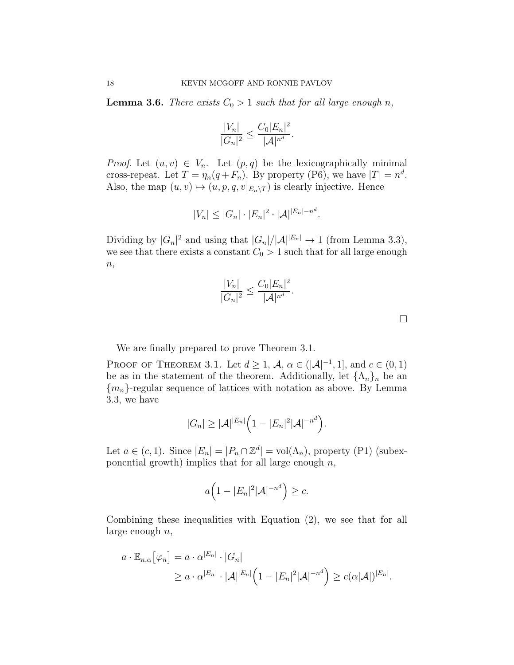**Lemma 3.6.** There exists  $C_0 > 1$  such that for all large enough n,

$$
\frac{|V_n|}{|G_n|^2} \le \frac{C_0 |E_n|^2}{|\mathcal{A}|^{n^d}}.
$$

*Proof.* Let  $(u, v) \in V_n$ . Let  $(p, q)$  be the lexicographically minimal cross-repeat. Let  $T = \eta_n(q + F_n)$ . By property (P6), we have  $|T| = n^d$ . Also, the map  $(u, v) \mapsto (u, p, q, v|_{E_n \setminus T})$  is clearly injective. Hence

$$
|V_n| \leq |G_n| \cdot |E_n|^2 \cdot |\mathcal{A}|^{|E_n| - n^d}.
$$

Dividing by  $|G_n|^2$  and using that  $|G_n|/|A|^{|E_n|} \to 1$  (from Lemma 3.3), we see that there exists a constant  $C_0 > 1$  such that for all large enough  $n,$ 

$$
\frac{|V_n|}{|G_n|^2} \le \frac{C_0 |E_n|^2}{|\mathcal{A}|^{n^d}}.
$$

 $\Box$ 

We are finally prepared to prove Theorem 3.1.

PROOF OF THEOREM 3.1. Let  $d \geq 1$ ,  $\mathcal{A}, \alpha \in (|\mathcal{A}|^{-1}, 1]$ , and  $c \in (0, 1)$ be as in the statement of the theorem. Additionally, let  $\{\Lambda_n\}_n$  be an  ${m_n}$ -regular sequence of lattices with notation as above. By Lemma 3.3, we have

$$
|G_n| \geq |\mathcal{A}|^{|E_n|} \Big(1-|E_n|^2|\mathcal{A}|^{-n^d}\Big).
$$

Let  $a \in (c, 1)$ . Since  $|E_n| = |P_n \cap \mathbb{Z}^d| = \text{vol}(\Lambda_n)$ , property (P1) (subexponential growth) implies that for all large enough  $n$ ,

$$
a\Big(1-|E_n|^2|\mathcal{A}|^{-n^d}\Big)\geq c.
$$

Combining these inequalities with Equation (2), we see that for all large enough  $n$ ,

$$
a \cdot \mathbb{E}_{n,\alpha}[\varphi_n] = a \cdot \alpha^{|E_n|} \cdot |G_n|
$$
  
 
$$
\geq a \cdot \alpha^{|E_n|} \cdot |\mathcal{A}|^{|E_n|} \left(1 - |E_n|^2 |\mathcal{A}|^{-n^d}\right) \geq c(\alpha |\mathcal{A}|)^{|E_n|}.
$$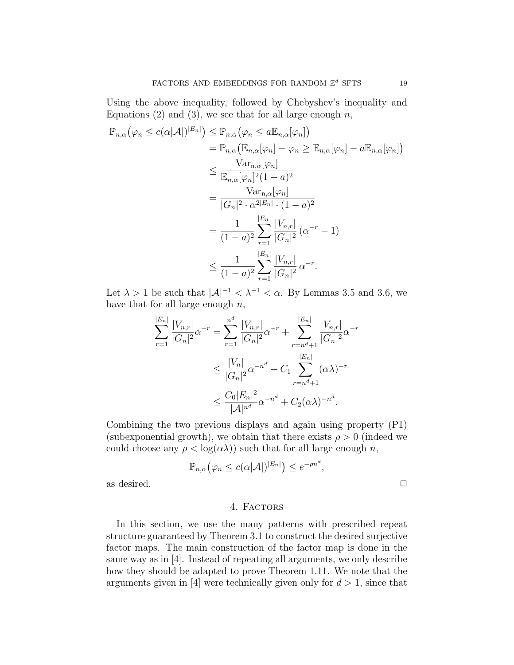Using the above inequality, followed by Chebyshev's inequality and Equations (2) and (3), we see that for all large enough  $n$ ,

$$
\mathbb{P}_{n,\alpha}(\varphi_n \le c(\alpha|\mathcal{A}|)^{|E_n|}) \le \mathbb{P}_{n,\alpha}(\varphi_n \le a\mathbb{E}_{n,\alpha}[\varphi_n])
$$
  
\n
$$
= \mathbb{P}_{n,\alpha}(\mathbb{E}_{n,\alpha}[\varphi_n] - \varphi_n \ge \mathbb{E}_{n,\alpha}[\varphi_n] - a\mathbb{E}_{n,\alpha}[\varphi_n])
$$
  
\n
$$
\le \frac{\text{Var}_{n,\alpha}[\varphi_n]}{\mathbb{E}_{n,\alpha}[\varphi_n]^2(1-a)^2}
$$
  
\n
$$
= \frac{\text{Var}_{n,\alpha}[\varphi_n]}{|G_n|^2 \cdot \alpha^{2|E_n|} \cdot (1-a)^2}
$$
  
\n
$$
= \frac{1}{(1-a)^2} \sum_{r=1}^{|E_n|} \frac{|V_{n,r}|}{|G_n|^2} (\alpha^{-r} - 1)
$$
  
\n
$$
\le \frac{1}{(1-a)^2} \sum_{r=1}^{|E_n|} \frac{|V_{n,r}|}{|G_n|^2} \alpha^{-r}.
$$

Let  $\lambda > 1$  be such that  $|\mathcal{A}|^{-1} < \lambda^{-1} < \alpha$ . By Lemmas 3.5 and 3.6, we have that for all large enough  $n$ ,

$$
\sum_{r=1}^{|E_n|} \frac{|V_{n,r}|}{|G_n|^2} \alpha^{-r} = \sum_{r=1}^{n^d} \frac{|V_{n,r}|}{|G_n|^2} \alpha^{-r} + \sum_{r=n^d+1}^{|E_n|} \frac{|V_{n,r}|}{|G_n|^2} \alpha^{-r}
$$
  

$$
\leq \frac{|V_n|}{|G_n|^2} \alpha^{-n^d} + C_1 \sum_{r=n^d+1}^{|E_n|} (\alpha \lambda)^{-r}
$$
  

$$
\leq \frac{C_0 |E_n|^2}{|\mathcal{A}|^{n^d}} \alpha^{-n^d} + C_2(\alpha \lambda)^{-n^d}.
$$

Combining the two previous displays and again using property (P1) (subexponential growth), we obtain that there exists  $\rho > 0$  (indeed we could choose any  $\rho < \log(\alpha \lambda)$  such that for all large enough n,

$$
\mathbb{P}_{n,\alpha}(\varphi_n \le c(\alpha |\mathcal{A}|)^{|E_n|}) \le e^{-\rho n^d},
$$
 as desired.  $\square$ 

### 4. Factors

In this section, we use the many patterns with prescribed repeat structure guaranteed by Theorem 3.1 to construct the desired surjective factor maps. The main construction of the factor map is done in the same way as in [4]. Instead of repeating all arguments, we only describe how they should be adapted to prove Theorem 1.11. We note that the arguments given in [4] were technically given only for  $d > 1$ , since that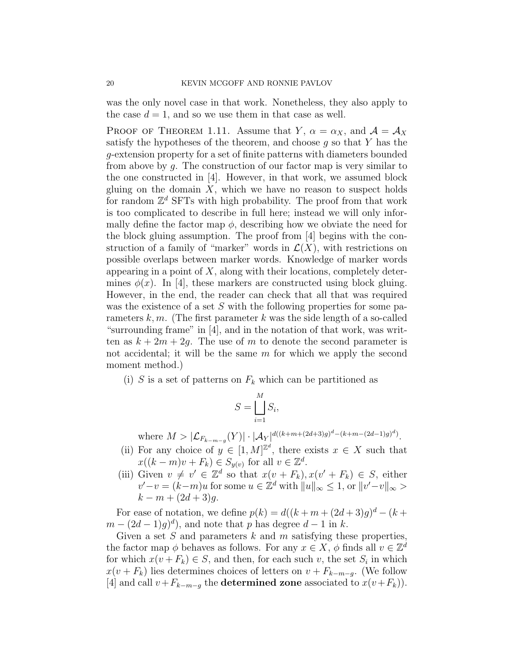was the only novel case in that work. Nonetheless, they also apply to the case  $d = 1$ , and so we use them in that case as well.

PROOF OF THEOREM 1.11. Assume that Y,  $\alpha = \alpha_X$ , and  $\mathcal{A} = \mathcal{A}_X$ satisfy the hypotheses of the theorem, and choose  $g$  so that  $Y$  has the g-extension property for a set of finite patterns with diameters bounded from above by g. The construction of our factor map is very similar to the one constructed in [4]. However, in that work, we assumed block gluing on the domain  $X$ , which we have no reason to suspect holds for random  $\mathbb{Z}^d$  SFTs with high probability. The proof from that work is too complicated to describe in full here; instead we will only informally define the factor map  $\phi$ , describing how we obviate the need for the block gluing assumption. The proof from [4] begins with the construction of a family of "marker" words in  $\mathcal{L}(X)$ , with restrictions on possible overlaps between marker words. Knowledge of marker words appearing in a point of  $X$ , along with their locations, completely determines  $\phi(x)$ . In [4], these markers are constructed using block gluing. However, in the end, the reader can check that all that was required was the existence of a set  $S$  with the following properties for some parameters k, m. (The first parameter k was the side length of a so-called "surrounding frame" in [4], and in the notation of that work, was written as  $k + 2m + 2q$ . The use of m to denote the second parameter is not accidental; it will be the same  $m$  for which we apply the second moment method.)

(i) S is a set of patterns on  $F_k$  which can be partitioned as

$$
S = \bigsqcup_{i=1}^{M} S_i,
$$

where  $M > |\mathcal{L}_{F_{k-m-g}}(Y)| \cdot |\mathcal{A}_Y|^{d((k+m+(2d+3)g)^d-(k+m-(2d-1)g)^d)}$ .

- (ii) For any choice of  $y \in [1, M]^{\mathbb{Z}^d}$ , there exists  $x \in X$  such that  $x((k-m)v + F_k) \in S_{y(v)}$  for all  $v \in \mathbb{Z}^d$ .
- (iii) Given  $v \neq v' \in \mathbb{Z}^d$  so that  $x(v + F_k), x(v' + F_k) \in S$ , either  $v'-v = (k-m)u$  for some  $u \in \mathbb{Z}^d$  with  $||u||_{\infty} \leq 1$ , or  $||v'-v||_{\infty} >$  $k - m + (2d + 3)g$ .

For ease of notation, we define  $p(k) = d((k+m+(2d+3)g)^d - (k+1)$  $m - (2d - 1)g)^d$ , and note that p has degree  $d - 1$  in k.

Given a set  $S$  and parameters  $k$  and  $m$  satisfying these properties, the factor map  $\phi$  behaves as follows. For any  $x \in X$ ,  $\phi$  finds all  $v \in \mathbb{Z}^d$ for which  $x(v + F_k) \in S$ , and then, for each such v, the set  $S_i$  in which  $x(v + F_k)$  lies determines choices of letters on  $v + F_{k-m-g}$ . (We follow [4] and call  $v+F_{k-m-q}$  the **determined zone** associated to  $x(v+F_k)$ .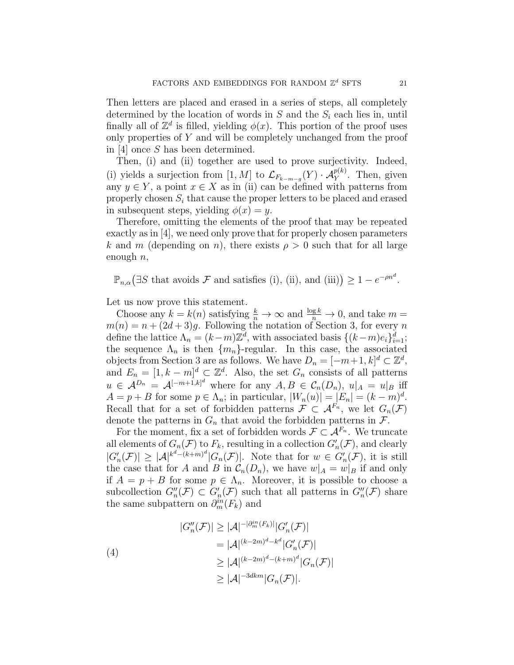Then letters are placed and erased in a series of steps, all completely determined by the location of words in  $S$  and the  $S_i$  each lies in, until finally all of  $\mathbb{Z}^d$  is filled, yielding  $\phi(x)$ . This portion of the proof uses only properties of Y and will be completely unchanged from the proof in [4] once S has been determined.

Then, (i) and (ii) together are used to prove surjectivity. Indeed, (i) yields a surjection from [1, M] to  $\mathcal{L}_{F_{k-m-g}}(Y) \cdot \mathcal{A}_{Y}^{p(k)}$ . Then, given any  $y \in Y$ , a point  $x \in X$  as in (ii) can be defined with patterns from properly chosen  $S_i$  that cause the proper letters to be placed and erased in subsequent steps, yielding  $\phi(x) = y$ .

Therefore, omitting the elements of the proof that may be repeated exactly as in [4], we need only prove that for properly chosen parameters k and m (depending on n), there exists  $\rho > 0$  such that for all large enough  $n$ ,

 $\mathbb{P}_{n,\alpha}(\exists S \text{ that avoids } \mathcal{F} \text{ and satisfies (i), (ii), and (iii)}) \geq 1 - e^{-\rho n^d}.$ 

Let us now prove this statement.

Choose any  $k = k(n)$  satisfying  $\frac{k}{n} \to \infty$  and  $\frac{\log k}{n} \to 0$ , and take  $m =$  $m(n) = n + (2d + 3)g$ . Following the notation of Section 3, for every n define the lattice  $\Lambda_n = (k-m)\mathbb{Z}^d$ , with associated basis  $\{(k-m)e_i\}_{i=1}^d$ ; the sequence  $\Lambda_n$  is then  $\{m_n\}$ -regular. In this case, the associated objects from Section 3 are as follows. We have  $D_n = [-m+1, k]^d \subset \mathbb{Z}^d$ , and  $E_n = [1, k - m]^d \subset \mathbb{Z}^d$ . Also, the set  $G_n$  consists of all patterns  $u \in \mathcal{A}^{D_n} = \mathcal{A}^{[-m+1,k]^d}$  where for any  $A, B \in \mathcal{C}_n(D_n)$ ,  $u|_A = u|_B$  iff  $A = p + B$  for some  $p \in \Lambda_n$ ; in particular,  $|W_n(u)| = |E_n| = (k - m)^d$ . Recall that for a set of forbidden patterns  $\mathcal{F} \subset \mathcal{A}^{F_n}$ , we let  $G_n(\mathcal{F})$ denote the patterns in  $G_n$  that avoid the forbidden patterns in  $\mathcal{F}$ .

For the moment, fix a set of forbidden words  $\mathcal{F} \subset \mathcal{A}^{F_n}$ . We truncate all elements of  $G_n(\mathcal{F})$  to  $F_k$ , resulting in a collection  $G'_n(\mathcal{F})$ , and clearly  $|G'_n(\mathcal{F})| \geq |\mathcal{A}|^{k^d - (k+m)^d} |G_n(\mathcal{F})|$ . Note that for  $w \in G'_n(\mathcal{F})$ , it is still the case that for A and B in  $\mathcal{C}_n(D_n)$ , we have  $w|_A = w|_B$  if and only if  $A = p + B$  for some  $p \in \Lambda_n$ . Moreover, it is possible to choose a subcollection  $G''_n(\mathcal{F}) \subset G'_n(\mathcal{F})$  such that all patterns in  $G''_n(\mathcal{F})$  share the same subpattern on  $\partial_m^{in}(F_k)$  and

(4)  
\n
$$
|G''_n(\mathcal{F})| \geq |\mathcal{A}|^{-|\partial_m^{in}(F_k)|} |G'_n(\mathcal{F})|
$$
\n
$$
= |\mathcal{A}|^{(k-2m)^d - k^d} |G'_n(\mathcal{F})|
$$
\n
$$
\geq |\mathcal{A}|^{(k-2m)^d - (k+m)^d} |G_n(\mathcal{F})|
$$
\n
$$
\geq |\mathcal{A}|^{-3dkm} |G_n(\mathcal{F})|.
$$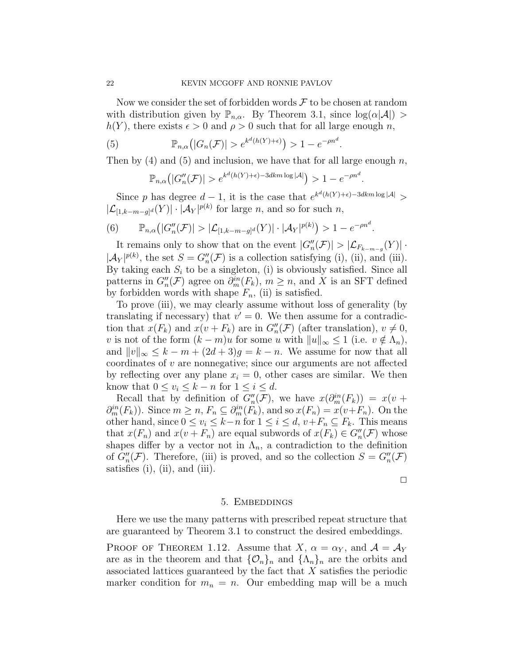Now we consider the set of forbidden words  $\mathcal F$  to be chosen at random with distribution given by  $\mathbb{P}_{n,\alpha}$ . By Theorem 3.1, since  $\log(\alpha|\mathcal{A}|) >$  $h(Y)$ , there exists  $\epsilon > 0$  and  $\rho > 0$  such that for all large enough n,

(5) 
$$
\mathbb{P}_{n,\alpha}\big(|G_n(\mathcal{F})| > e^{k^d(h(Y)+\epsilon)}\big) > 1 - e^{-\rho n^d}.
$$

Then by  $(4)$  and  $(5)$  and inclusion, we have that for all large enough n,

$$
\mathbb{P}_{n,\alpha}\big(|G''_n(\mathcal{F})| > e^{k^d(h(Y)+\epsilon)-3dkm\log|\mathcal{A}|}\big) > 1 - e^{-\rho n^d}.
$$

Since p has degree  $d-1$ , it is the case that  $e^{k^d(h(Y)+\epsilon)-3dkm\log|\mathcal{A}|} >$  $|\mathcal{L}_{[1,k-m-g]^d}(Y)| \cdot |\mathcal{A}_Y|^{p(k)}$  for large n, and so for such n,

(6) 
$$
\mathbb{P}_{n,\alpha}\big(|G''_n(\mathcal{F})| > |\mathcal{L}_{[1,k-m-g]^d}(Y)| \cdot |\mathcal{A}_Y|^{p(k)}\big) > 1 - e^{-\rho n^d}.
$$

It remains only to show that on the event  $|G_n''(\mathcal{F})| > |\mathcal{L}_{F_{k-m-g}}(Y)|$ .  $|\mathcal{A}_Y|^{p(k)}$ , the set  $S = G''_n(\mathcal{F})$  is a collection satisfying (i), (ii), and (iii). By taking each  $S_i$  to be a singleton, (i) is obviously satisfied. Since all patterns in  $G''_n(\mathcal{F})$  agree on  $\partial_m^{in}(F_k)$ ,  $m \geq n$ , and X is an SFT defined by forbidden words with shape  $F_n$ , (ii) is satisfied.

To prove (iii), we may clearly assume without loss of generality (by translating if necessary) that  $v' = 0$ . We then assume for a contradiction that  $x(F_k)$  and  $x(v + F_k)$  are in  $G''_n(\mathcal{F})$  (after translation),  $v \neq 0$ , v is not of the form  $(k - m)u$  for some u with  $||u||_{\infty} \leq 1$  (i.e.  $v \notin \Lambda_n$ ), and  $||v||_{\infty} \leq k - m + (2d + 3)g = k - n$ . We assume for now that all  $coordinates of  $v$  are nonnegative; since our arguments are not affected$ by reflecting over any plane  $x_i = 0$ , other cases are similar. We then know that  $0 \le v_i \le k - n$  for  $1 \le i \le d$ .

Recall that by definition of  $G''_n(\mathcal{F})$ , we have  $x(\partial_m^{in}(F_k)) = x(v +$  $\partial_m^{in}(F_k)$ . Since  $m \geq n$ ,  $F_n \subseteq \partial_m^{in}(F_k)$ , and so  $x(F_n) = x(v+F_n)$ . On the other hand, since  $0 \le v_i \le k-n$  for  $1 \le i \le d$ ,  $v+F_n \subseteq F_k$ . This means that  $x(F_n)$  and  $x(v + F_n)$  are equal subwords of  $x(F_k) \in G''_n(\mathcal{F})$  whose shapes differ by a vector not in  $\Lambda_n$ , a contradiction to the definition of  $G''_n(\mathcal{F})$ . Therefore, (iii) is proved, and so the collection  $S = G''_n(\mathcal{F})$ satisfies (i), (ii), and (iii).

 $\Box$ 

#### 5. Embeddings

Here we use the many patterns with prescribed repeat structure that are guaranteed by Theorem 3.1 to construct the desired embeddings.

PROOF OF THEOREM 1.12. Assume that  $X, \alpha = \alpha_Y$ , and  $\mathcal{A} = \mathcal{A}_Y$ are as in the theorem and that  $\{\mathcal{O}_n\}_n$  and  $\{\Lambda_n\}_n$  are the orbits and associated lattices guaranteed by the fact that X satisfies the periodic marker condition for  $m_n = n$ . Our embedding map will be a much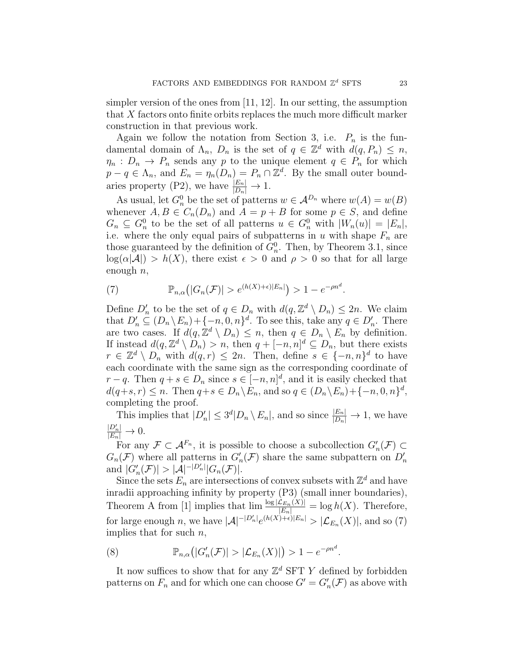simpler version of the ones from [11, 12]. In our setting, the assumption that  $X$  factors onto finite orbits replaces the much more difficult marker construction in that previous work.

Again we follow the notation from Section 3, i.e.  $P_n$  is the fundamental domain of  $\Lambda_n$ ,  $D_n$  is the set of  $q \in \mathbb{Z}^d$  with  $d(q, P_n) \leq n$ ,  $\eta_n : D_n \to P_n$  sends any p to the unique element  $q \in P_n$  for which  $p - q \in \Lambda_n$ , and  $E_n = \eta_n(D_n) = P_n \cap \mathbb{Z}^d$ . By the small outer boundaries property (P2), we have  $\frac{|E_n|}{|D_n|} \to 1$ .

As usual, let  $G_n^0$  be the set of patterns  $w \in A^{D_n}$  where  $w(A) = w(B)$ whenever  $A, B \in C_n(D_n)$  and  $A = p + B$  for some  $p \in S$ , and define  $G_n \subseteq G_n^0$  to be the set of all patterns  $u \in G_n^0$  with  $|W_n(u)| = |E_n|$ , i.e. where the only equal pairs of subpatterns in u with shape  $F_n$  are those guaranteed by the definition of  $G_n^0$ . Then, by Theorem 3.1, since  $log(\alpha|\mathcal{A}|) > h(X)$ , there exist  $\epsilon > 0$  and  $\rho > 0$  so that for all large enough  $n$ ,

(7) 
$$
\mathbb{P}_{n,\alpha}\big(|G_n(\mathcal{F})| > e^{(h(X)+\epsilon)|E_n|}\big) > 1 - e^{-\rho n^d}.
$$

Define  $D'_n$  to be the set of  $q \in D_n$  with  $d(q, \mathbb{Z}^d \setminus D_n) \leq 2n$ . We claim that  $D'_n \subseteq (D_n \backslash E_n) + \{-n, 0, n\}^d$ . To see this, take any  $q \in D'_n$ . There are two cases. If  $d(q, \mathbb{Z}^d \setminus D_n) \leq n$ , then  $q \in D_n \setminus E_n$  by definition. If instead  $d(q, \mathbb{Z}^d \setminus D_n) > n$ , then  $q + [-n, n]^d \subseteq D_n$ , but there exists  $r \in \mathbb{Z}^d \setminus D_n$  with  $d(q,r) \leq 2n$ . Then, define  $s \in \{-n, n\}^d$  to have each coordinate with the same sign as the corresponding coordinate of  $r - q$ . Then  $q + s \in D_n$  since  $s \in [-n, n]^d$ , and it is easily checked that  $d(q+s, r) \leq n$ . Then  $q+s \in D_n \backslash E_n$ , and so  $q \in (D_n \backslash E_n) + \{-n, 0, n\}^d$ , completing the proof.

This implies that  $|D'_n| \leq 3^d |D_n \setminus E_n|$ , and so since  $\frac{|E_n|}{|D_n|} \to 1$ , we have  $\frac{|D'_n|}{|E_n|} \to 0.$ 

For any  $\mathcal{F} \subset \mathcal{A}^{F_n}$ , it is possible to choose a subcollection  $G'_n(\mathcal{F}) \subset$  $G_n(\mathcal{F})$  where all patterns in  $G'_n(\mathcal{F})$  share the same subpattern on  $D'_n$ and  $|G'_n(\mathcal{F})| > |\mathcal{A}|^{-|D'_n|} |G_n(\mathcal{F})|$ .

Since the sets  $E_n$  are intersections of convex subsets with  $\mathbb{Z}^d$  and have inradii approaching infinity by property (P3) (small inner boundaries), Theorem A from [1] implies that  $\lim_{n \to \infty} \frac{\log |\mathcal{L}_{E_n}(X)|}{|E_n|} = \log h(X)$ . Therefore, for large enough n, we have  $|\mathcal{A}|^{-|D'_n|}e^{(h(X)+\epsilon)|E_n|} > |\mathcal{L}_{E_n}(X)|$ , and so (7) implies that for such  $n$ ,

(8) 
$$
\mathbb{P}_{n,\alpha}(|G'_n(\mathcal{F})| > |\mathcal{L}_{E_n}(X)|) > 1 - e^{-\rho n^d}.
$$

It now suffices to show that for any  $\mathbb{Z}^d$  SFT Y defined by forbidden patterns on  $F_n$  and for which one can choose  $G' = G'_n(\mathcal{F})$  as above with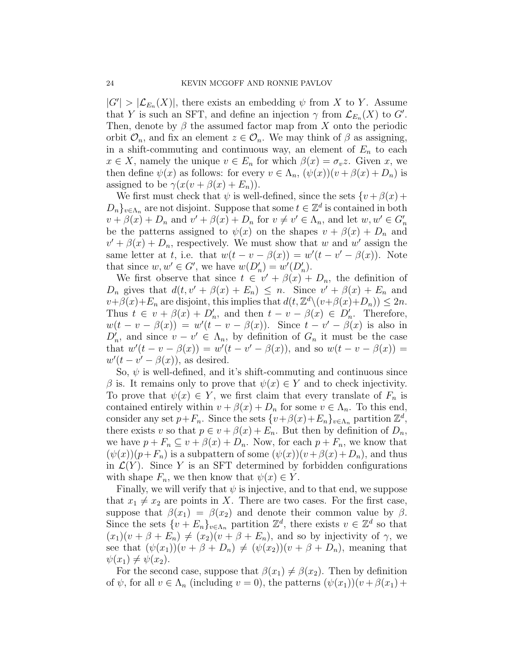$|G'| > |\mathcal{L}_{E_n}(X)|$ , there exists an embedding  $\psi$  from X to Y. Assume that Y is such an SFT, and define an injection  $\gamma$  from  $\mathcal{L}_{E_n}(X)$  to  $G'$ . Then, denote by  $\beta$  the assumed factor map from X onto the periodic orbit  $\mathcal{O}_n$ , and fix an element  $z \in \mathcal{O}_n$ . We may think of  $\beta$  as assigning, in a shift-commuting and continuous way, an element of  $E_n$  to each  $x \in X$ , namely the unique  $v \in E_n$  for which  $\beta(x) = \sigma_v z$ . Given x, we then define  $\psi(x)$  as follows: for every  $v \in \Lambda_n$ ,  $(\psi(x))(v + \beta(x) + D_n)$  is assigned to be  $\gamma(x(v + \beta(x) + E_n))$ .

We first must check that  $\psi$  is well-defined, since the sets  $\{v + \beta(x) + \beta(x)\}$  $D_n\}_{n\in\Lambda_n}$  are not disjoint. Suppose that some  $t\in\mathbb{Z}^d$  is contained in both  $v + \beta(x) + D_n$  and  $v' + \beta(x) + D_n$  for  $v \neq v' \in \Lambda_n$ , and let  $w, w' \in G'_n$ be the patterns assigned to  $\psi(x)$  on the shapes  $v + \beta(x) + D_n$  and  $v' + \beta(x) + D_n$ , respectively. We must show that w and w' assign the same letter at t, i.e. that  $w(t - v - \beta(x)) = w'(t - v' - \beta(x))$ . Note that since  $w, w' \in G'$ , we have  $w(D'_n) = w'(D'_n)$ .

We first observe that since  $t \in v' + \beta(x) + D_n$ , the definition of  $D_n$  gives that  $d(t, v' + \beta(x) + E_n) \leq n$ . Since  $v' + \beta(x) + E_n$  and  $v+\beta(x)+E_n$  are disjoint, this implies that  $d(t, \mathbb{Z}^d \setminus (v+\beta(x)+D_n)) \leq 2n$ . Thus  $t \in v + \beta(x) + D'_n$ , and then  $t - v - \beta(x) \in D'_n$ . Therefore,  $w(t - v - \beta(x)) = w'(t - v - \beta(x))$ . Since  $t - v' - \beta(x)$  is also in  $D'_n$ , and since  $v - v' \in \Lambda_n$ , by definition of  $G_n$  it must be the case that  $w'(t - v - \beta(x)) = w'(t - v' - \beta(x))$ , and so  $w(t - v - \beta(x)) =$  $w'(t - v' - \beta(x))$ , as desired.

So,  $\psi$  is well-defined, and it's shift-commuting and continuous since β is. It remains only to prove that  $\psi(x) \in Y$  and to check injectivity. To prove that  $\psi(x) \in Y$ , we first claim that every translate of  $F_n$  is contained entirely within  $v + \beta(x) + D_n$  for some  $v \in \Lambda_n$ . To this end, consider any set  $p + F_n$ . Since the sets  $\{v + \beta(x) + E_n\}_{v \in \Lambda_n}$  partition  $\mathbb{Z}^d$ , there exists v so that  $p \in v + \beta(x) + E_n$ . But then by definition of  $D_n$ , we have  $p + F_n \subseteq v + \beta(x) + D_n$ . Now, for each  $p + F_n$ , we know that  $(\psi(x))(p+F_n)$  is a subpattern of some  $(\psi(x))(v+\beta(x)+D_n)$ , and thus in  $\mathcal{L}(Y)$ . Since Y is an SFT determined by forbidden configurations with shape  $F_n$ , we then know that  $\psi(x) \in Y$ .

Finally, we will verify that  $\psi$  is injective, and to that end, we suppose that  $x_1 \neq x_2$  are points in X. There are two cases. For the first case, suppose that  $\beta(x_1) = \beta(x_2)$  and denote their common value by  $\beta$ . Since the sets  $\{v + E_n\}_{v \in \Lambda_n}$  partition  $\mathbb{Z}^d$ , there exists  $v \in \mathbb{Z}^d$  so that  $(x_1)(v + \beta + E_n) \neq (x_2)(v + \beta + E_n)$ , and so by injectivity of  $\gamma$ , we see that  $(\psi(x_1))(v + \beta + D_n) \neq (\psi(x_2))(v + \beta + D_n)$ , meaning that  $\psi(x_1) \neq \psi(x_2)$ .

For the second case, suppose that  $\beta(x_1) \neq \beta(x_2)$ . Then by definition of  $\psi$ , for all  $v \in \Lambda_n$  (including  $v = 0$ ), the patterns  $(\psi(x_1))(v + \beta(x_1) + \gamma(x_2))$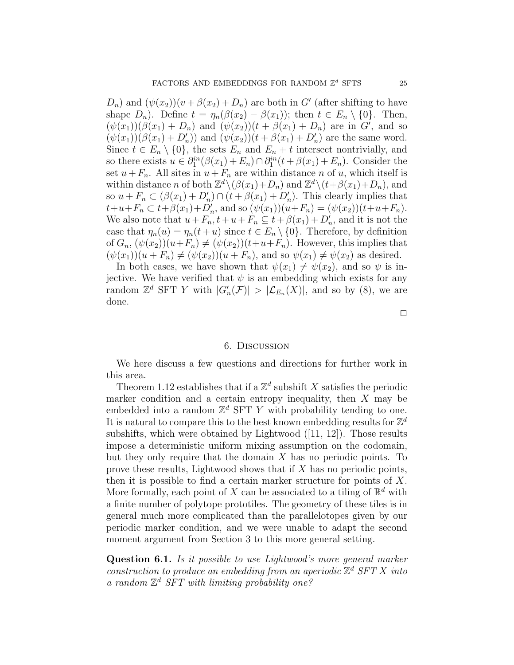$D_n$ ) and  $(\psi(x_2))(v + \beta(x_2) + D_n)$  are both in G' (after shifting to have shape  $D_n$ ). Define  $t = \eta_n(\beta(x_2) - \beta(x_1))$ ; then  $t \in E_n \setminus \{0\}$ . Then,  $(\psi(x_1))(\beta(x_1) + D_n)$  and  $(\psi(x_2))(t + \beta(x_1) + D_n)$  are in G', and so  $(\psi(x_1))(\beta(x_1)+D'_n))$  and  $(\psi(x_2))(t+\beta(x_1)+D'_n)$  are the same word. Since  $t \in E_n \setminus \{0\}$ , the sets  $E_n$  and  $E_n + t$  intersect nontrivially, and so there exists  $u \in \partial_1^{in}(\beta(x_1) + E_n) \cap \partial_1^{in}(t + \beta(x_1) + E_n)$ . Consider the set  $u+F_n$ . All sites in  $u+F_n$  are within distance n of u, which itself is within distance *n* of both  $\mathbb{Z}^d \setminus (\beta(x_1) + D_n)$  and  $\mathbb{Z}^d \setminus (t + \beta(x_1) + D_n)$ , and so  $u + F_n \subset (\beta(x_1) + D'_n) \cap (t + \beta(x_1) + D'_n)$ . This clearly implies that  $t+u+F_n \subset t+\beta(x_1)+D'_n$ , and so  $(\psi(x_1))(u+F_n) = (\psi(x_2))(t+u+F_n)$ . We also note that  $u + F_n$ ,  $t + u + F_n \subseteq t + \beta(x_1) + D'_n$ , and it is not the case that  $\eta_n(u) = \eta_n(t+u)$  since  $t \in E_n \setminus \{0\}$ . Therefore, by definition of  $G_n$ ,  $(\psi(x_2))(u+F_n) \neq (\psi(x_2))(t+u+F_n)$ . However, this implies that  $(\psi(x_1))(u + F_n) \neq (\psi(x_2))(u + F_n)$ , and so  $\psi(x_1) \neq \psi(x_2)$  as desired.

In both cases, we have shown that  $\psi(x_1) \neq \psi(x_2)$ , and so  $\psi$  is injective. We have verified that  $\psi$  is an embedding which exists for any random  $\mathbb{Z}^d$  SFT Y with  $|G'_n(\mathcal{F})| > |\mathcal{L}_{E_n}(X)|$ , and so by (8), we are done.

### $\Box$

#### 6. Discussion

We here discuss a few questions and directions for further work in this area.

Theorem 1.12 establishes that if a  $\mathbb{Z}^d$  subshift X satisfies the periodic marker condition and a certain entropy inequality, then  $X$  may be embedded into a random  $\mathbb{Z}^d$  SFT Y with probability tending to one. It is natural to compare this to the best known embedding results for  $\mathbb{Z}^d$ subshifts, which were obtained by Lightwood ([11, 12]). Those results impose a deterministic uniform mixing assumption on the codomain, but they only require that the domain  $X$  has no periodic points. To prove these results, Lightwood shows that if X has no periodic points, then it is possible to find a certain marker structure for points of  $X$ . More formally, each point of X can be associated to a tiling of  $\mathbb{R}^d$  with a finite number of polytope prototiles. The geometry of these tiles is in general much more complicated than the parallelotopes given by our periodic marker condition, and we were unable to adapt the second moment argument from Section 3 to this more general setting.

Question 6.1. Is it possible to use Lightwood's more general marker construction to produce an embedding from an aperiodic  $\mathbb{Z}^d$  SFT X into a random  $\mathbb{Z}^d$  SFT with limiting probability one?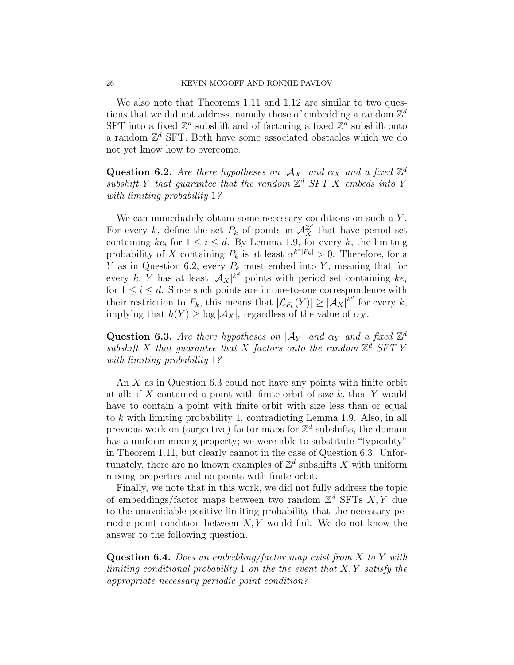We also note that Theorems 1.11 and 1.12 are similar to two questions that we did not address, namely those of embedding a random  $\mathbb{Z}^d$ SFT into a fixed  $\mathbb{Z}^d$  subshift and of factoring a fixed  $\mathbb{Z}^d$  subshift onto a random  $\mathbb{Z}^d$  SFT. Both have some associated obstacles which we do not yet know how to overcome.

Question 6.2. Are there hypotheses on  $|\mathcal{A}_X|$  and  $\alpha_X$  and a fixed  $\mathbb{Z}^d$ subshift Y that guarantee that the random  $\mathbb{Z}^d$  SFT X embeds into Y with limiting probability 1?

We can immediately obtain some necessary conditions on such a  $Y$ . For every k, define the set  $P_k$  of points in  $\mathcal{A}_X^{\mathbb{Z}^d}$  that have period set containing  $ke_i$  for  $1 \le i \le d$ . By Lemma 1.9, for every k, the limiting probability of X containing  $P_k$  is at least  $\alpha^{k^d|P_k|} > 0$ . Therefore, for a Y as in Question 6.2, every  $P_k$  must embed into Y, meaning that for every k, Y has at least  $|\mathcal{A}_X|^{k^d}$  points with period set containing  $ke_i$ for  $1 \leq i \leq d$ . Since such points are in one-to-one correspondence with their restriction to  $F_k$ , this means that  $|\mathcal{L}_{F_k}(Y)| \geq |\mathcal{A}_X|^{k^d}$  for every k, implying that  $h(Y) \ge \log |\mathcal{A}_X|$ , regardless of the value of  $\alpha_X$ .

Question 6.3. Are there hypotheses on  $|\mathcal{A}_Y|$  and  $\alpha_Y$  and a fixed  $\mathbb{Z}^d$ subshift X that guarantee that X factors onto the random  $\mathbb{Z}^d$  SFT Y with limiting probability 1?

An X as in Question 6.3 could not have any points with finite orbit at all: if X contained a point with finite orbit of size  $k$ , then Y would have to contain a point with finite orbit with size less than or equal to k with limiting probability 1, contradicting Lemma 1.9. Also, in all previous work on (surjective) factor maps for  $\mathbb{Z}^d$  subshifts, the domain has a uniform mixing property; we were able to substitute "typicality" in Theorem 1.11, but clearly cannot in the case of Question 6.3. Unfortunately, there are no known examples of  $\mathbb{Z}^d$  subshifts X with uniform mixing properties and no points with finite orbit.

Finally, we note that in this work, we did not fully address the topic of embeddings/factor maps between two random  $\mathbb{Z}^d$  SFTs X, Y due to the unavoidable positive limiting probability that the necessary periodic point condition between  $X, Y$  would fail. We do not know the answer to the following question.

**Question 6.4.** Does an embedding/factor map exist from  $X$  to  $Y$  with limiting conditional probability 1 on the the event that  $X, Y$  satisfy the appropriate necessary periodic point condition?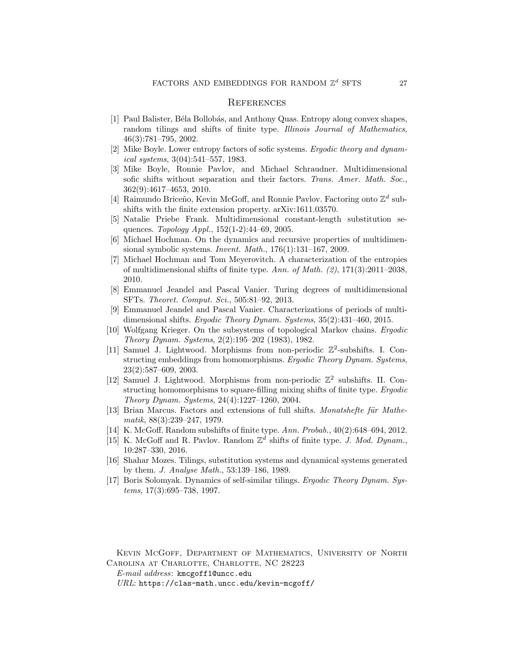#### **REFERENCES**

- [1] Paul Balister, Béla Bollobás, and Anthony Quas. Entropy along convex shapes, random tilings and shifts of finite type. Illinois Journal of Mathematics, 46(3):781–795, 2002.
- [2] Mike Boyle. Lower entropy factors of sofic systems. Ergodic theory and dynamical systems, 3(04):541–557, 1983.
- [3] Mike Boyle, Ronnie Pavlov, and Michael Schraudner. Multidimensional sofic shifts without separation and their factors. Trans. Amer. Math. Soc., 362(9):4617–4653, 2010.
- [4] Raimundo Briceño, Kevin McGoff, and Ronnie Pavlov. Factoring onto  $\mathbb{Z}^d$  subshifts with the finite extension property. arXiv:1611.03570.
- [5] Natalie Priebe Frank. Multidimensional constant-length substitution sequences. Topology Appl., 152(1-2):44–69, 2005.
- [6] Michael Hochman. On the dynamics and recursive properties of multidimensional symbolic systems. Invent. Math., 176(1):131–167, 2009.
- [7] Michael Hochman and Tom Meyerovitch. A characterization of the entropies of multidimensional shifts of finite type. Ann. of Math.  $(2)$ , 171 $(3)$ :2011–2038, 2010.
- [8] Emmanuel Jeandel and Pascal Vanier. Turing degrees of multidimensional SFTs. Theoret. Comput. Sci., 505:81–92, 2013.
- [9] Emmanuel Jeandel and Pascal Vanier. Characterizations of periods of multidimensional shifts. Ergodic Theory Dynam. Systems, 35(2):431–460, 2015.
- [10] Wolfgang Krieger. On the subsystems of topological Markov chains. Ergodic Theory Dynam. Systems, 2(2):195–202 (1983), 1982.
- [11] Samuel J. Lightwood. Morphisms from non-periodic  $\mathbb{Z}^2$ -subshifts. I. Constructing embeddings from homomorphisms. Ergodic Theory Dynam. Systems, 23(2):587–609, 2003.
- [12] Samuel J. Lightwood. Morphisms from non-periodic  $\mathbb{Z}^2$  subshifts. II. Constructing homomorphisms to square-filling mixing shifts of finite type. *Ergodic* Theory Dynam. Systems, 24(4):1227–1260, 2004.
- [13] Brian Marcus. Factors and extensions of full shifts. Monatshefte für Mathematik, 88(3):239–247, 1979.
- [14] K. McGoff. Random subshifts of finite type. Ann. Probab., 40(2):648–694, 2012.
- [15] K. McGoff and R. Pavlov. Random  $\mathbb{Z}^d$  shifts of finite type. J. Mod. Dynam., 10:287–330, 2016.
- [16] Shahar Mozes. Tilings, substitution systems and dynamical systems generated by them. J. Analyse Math., 53:139–186, 1989.
- [17] Boris Solomyak. Dynamics of self-similar tilings. Ergodic Theory Dynam. Systems, 17(3):695–738, 1997.

Kevin McGoff, Department of Mathematics, University of North Carolina at Charlotte, Charlotte, NC 28223

E-mail address: kmcgoff1@uncc.edu

URL: https://clas-math.uncc.edu/kevin-mcgoff/